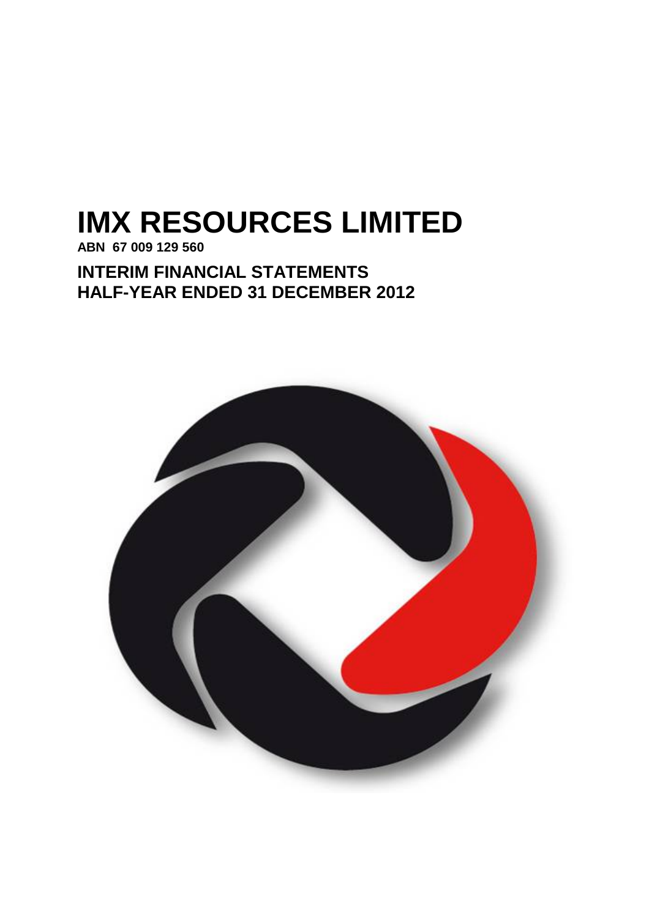# **IMX RESOURCES LIMITED**

**ABN 67 009 129 560**

**INTERIM FINANCIAL STATEMENTS HALF-YEAR ENDED 31 DECEMBER 2012**

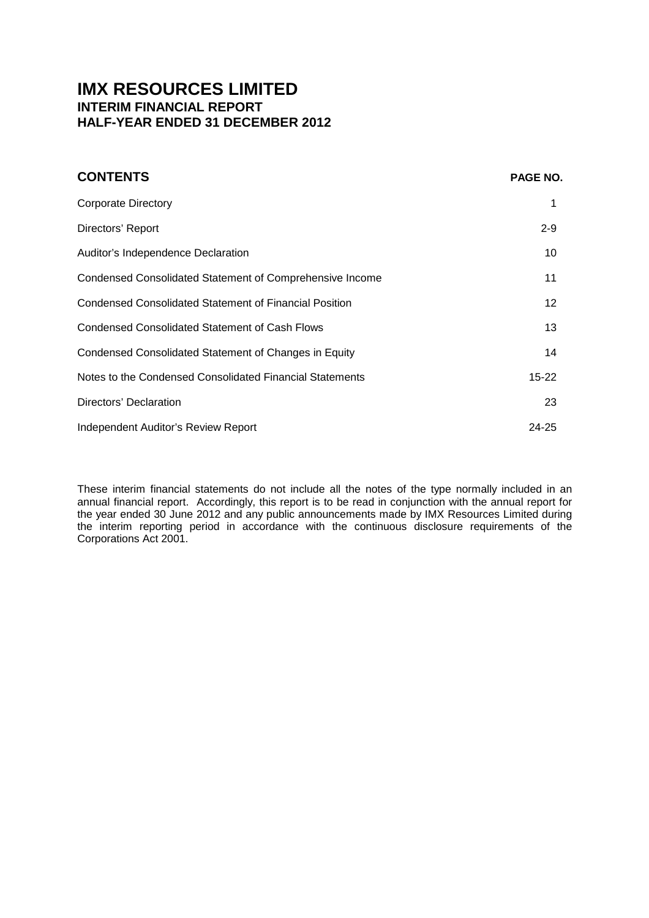# **IMX RESOURCES LIMITED INTERIM FINANCIAL REPORT HALF-YEAR ENDED 31 DECEMBER 2012**

| <b>CONTENTS</b>                                               | <b>PAGE NO.</b> |
|---------------------------------------------------------------|-----------------|
| <b>Corporate Directory</b>                                    |                 |
| Directors' Report                                             | $2 - 9$         |
| Auditor's Independence Declaration                            | 10              |
| Condensed Consolidated Statement of Comprehensive Income      | 11              |
| <b>Condensed Consolidated Statement of Financial Position</b> | 12              |
| <b>Condensed Consolidated Statement of Cash Flows</b>         | 13              |
| Condensed Consolidated Statement of Changes in Equity         | 14              |
| Notes to the Condensed Consolidated Financial Statements      | $15 - 22$       |
| Directors' Declaration                                        | 23              |
| Independent Auditor's Review Report                           | 24-25           |

These interim financial statements do not include all the notes of the type normally included in an annual financial report. Accordingly, this report is to be read in conjunction with the annual report for the year ended 30 June 2012 and any public announcements made by IMX Resources Limited during the interim reporting period in accordance with the continuous disclosure requirements of the Corporations Act 2001.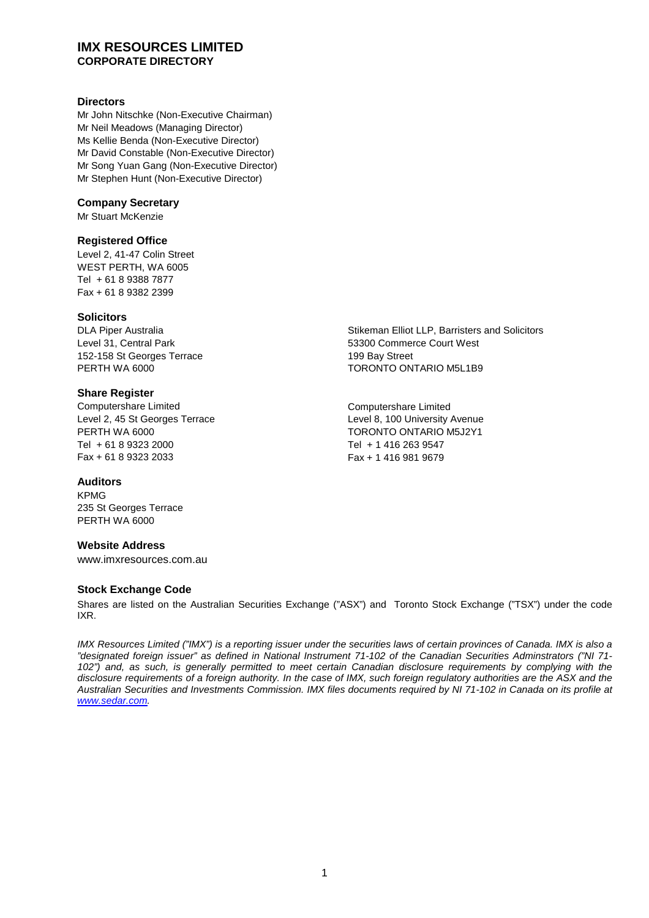## **IMX RESOURCES LIMITED CORPORATE DIRECTORY**

## **Directors**

Mr John Nitschke (Non-Executive Chairman) Mr Neil Meadows (Managing Director) Ms Kellie Benda (Non-Executive Director) Mr David Constable (Non-Executive Director) Mr Song Yuan Gang (Non-Executive Director) Mr Stephen Hunt (Non-Executive Director)

## **Company Secretary**

Mr Stuart McKenzie

## **Registered Office**

Level 2, 41-47 Colin Street WEST PERTH, WA 6005 Tel + 61 8 9388 7877 Fax + 61 8 9382 2399

## **Solicitors**

DLA Piper Australia Level 31, Central Park 152-158 St Georges Terrace PERTH WA 6000

## **Share Register**

Computershare Limited Level 2, 45 St Georges Terrace PERTH WA 6000 Tel + 61 8 9323 2000 Fax + 61 8 9323 2033

## **Auditors**

KPMG 235 St Georges Terrace PERTH WA 6000

## **Website Address**

www.imxresources.com.au

## **Stock Exchange Code**

Shares are listed on the Australian Securities Exchange ("ASX") and Toronto Stock Exchange ("TSX") under the code IXR.

*IMX Resources Limited ("IMX") is a reporting issuer under the securities laws of certain provinces of Canada. IMX is also a "designated foreign issuer" as defined in National Instrument 71-102 of the Canadian Securities Adminstrators ("NI 71- 102") and, as such, is generally permitted to meet certain Canadian disclosure requirements by complying with the disclosure requirements of a foreign authority. In the case of IMX, such foreign regulatory authorities are the ASX and the Australian Securities and Investments Commission. IMX files documents required by NI 71-102 in Canada on its profile at [www.sedar.com](http://www.sedar.com/).*

Stikeman Elliot LLP, Barristers and Solicitors 53300 Commerce Court West 199 Bay Street TORONTO ONTARIO M5L1B9

Computershare Limited Level 8, 100 University Avenue TORONTO ONTARIO M5J2Y1 Tel + 1 416 263 9547 Fax + 1 416 981 9679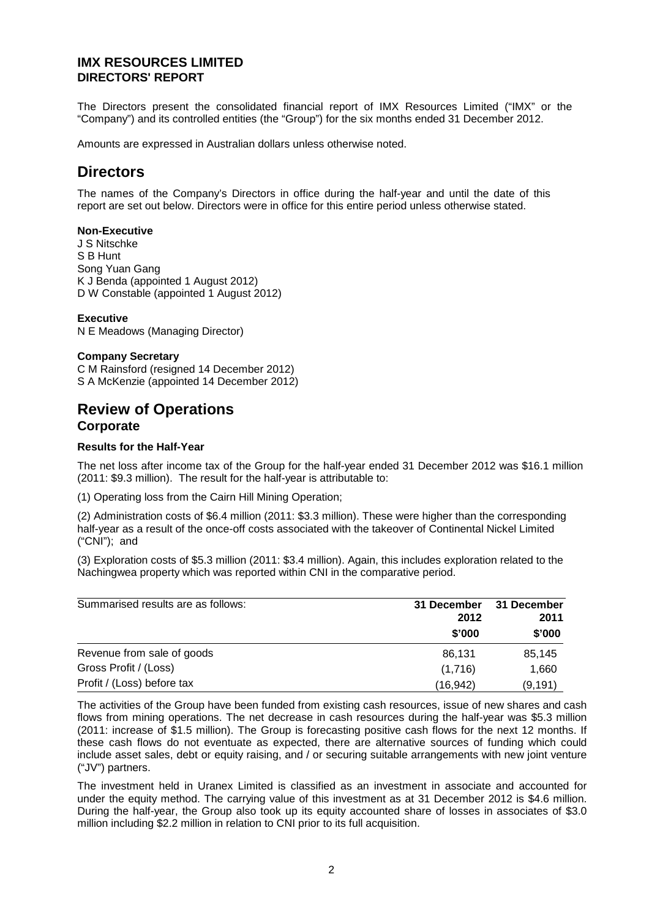The Directors present the consolidated financial report of IMX Resources Limited ("IMX" or the "Company") and its controlled entities (the "Group") for the six months ended 31 December 2012.

Amounts are expressed in Australian dollars unless otherwise noted.

# **Directors**

The names of the Company's Directors in office during the half-year and until the date of this report are set out below. Directors were in office for this entire period unless otherwise stated.

#### **Non-Executive**

J S Nitschke S B Hunt Song Yuan Gang K J Benda (appointed 1 August 2012) D W Constable (appointed 1 August 2012)

## **Executive**

N E Meadows (Managing Director)

## **Company Secretary**

C M Rainsford (resigned 14 December 2012) S A McKenzie (appointed 14 December 2012)

## **Review of Operations Corporate**

## **Results for the Half-Year**

The net loss after income tax of the Group for the half-year ended 31 December 2012 was \$16.1 million (2011: \$9.3 million). The result for the half-year is attributable to:

(1) Operating loss from the Cairn Hill Mining Operation;

(2) Administration costs of \$6.4 million (2011: \$3.3 million). These were higher than the corresponding half-year as a result of the once-off costs associated with the takeover of Continental Nickel Limited ("CNI"); and

(3) Exploration costs of \$5.3 million (2011: \$3.4 million). Again, this includes exploration related to the Nachingwea property which was reported within CNI in the comparative period.

| Summarised results are as follows: | 31 December<br>2012 | 31 December<br>2011 |  |
|------------------------------------|---------------------|---------------------|--|
|                                    | \$'000              | \$'000              |  |
| Revenue from sale of goods         | 86.131              | 85,145              |  |
| Gross Profit / (Loss)              | (1,716)             | 1.660               |  |
| Profit / (Loss) before tax         | (16,942)            | (9, 191)            |  |

The activities of the Group have been funded from existing cash resources, issue of new shares and cash flows from mining operations. The net decrease in cash resources during the half-year was \$5.3 million (2011: increase of \$1.5 million). The Group is forecasting positive cash flows for the next 12 months. If these cash flows do not eventuate as expected, there are alternative sources of funding which could include asset sales, debt or equity raising, and / or securing suitable arrangements with new joint venture ("JV") partners.

The investment held in Uranex Limited is classified as an investment in associate and accounted for under the equity method. The carrying value of this investment as at 31 December 2012 is \$4.6 million. During the half-year, the Group also took up its equity accounted share of losses in associates of \$3.0 million including \$2.2 million in relation to CNI prior to its full acquisition.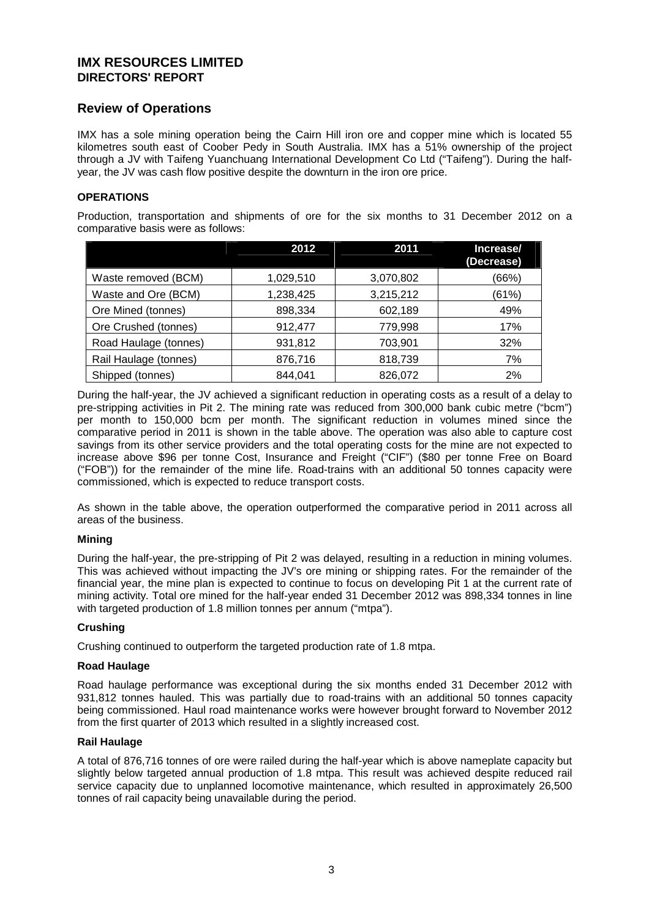## **Review of Operations**

IMX has a sole mining operation being the Cairn Hill iron ore and copper mine which is located 55 kilometres south east of Coober Pedy in South Australia. IMX has a 51% ownership of the project through a JV with Taifeng Yuanchuang International Development Co Ltd ("Taifeng"). During the halfyear, the JV was cash flow positive despite the downturn in the iron ore price.

## **OPERATIONS**

Production, transportation and shipments of ore for the six months to 31 December 2012 on a comparative basis were as follows:

|                       | 2012      | 2011      | Increase/<br>(Decrease) |
|-----------------------|-----------|-----------|-------------------------|
| Waste removed (BCM)   | 1,029,510 | 3,070,802 | (66%)                   |
| Waste and Ore (BCM)   | 1,238,425 | 3,215,212 | (61%)                   |
| Ore Mined (tonnes)    | 898,334   | 602,189   | 49%                     |
| Ore Crushed (tonnes)  | 912,477   | 779,998   | 17%                     |
| Road Haulage (tonnes) | 931,812   | 703,901   | 32%                     |
| Rail Haulage (tonnes) | 876,716   | 818,739   | 7%                      |
| Shipped (tonnes)      | 844,041   | 826,072   | 2%                      |

During the half-year, the JV achieved a significant reduction in operating costs as a result of a delay to pre-stripping activities in Pit 2. The mining rate was reduced from 300,000 bank cubic metre ("bcm") per month to 150,000 bcm per month. The significant reduction in volumes mined since the comparative period in 2011 is shown in the table above. The operation was also able to capture cost savings from its other service providers and the total operating costs for the mine are not expected to increase above \$96 per tonne Cost, Insurance and Freight ("CIF") (\$80 per tonne Free on Board ("FOB")) for the remainder of the mine life. Road-trains with an additional 50 tonnes capacity were commissioned, which is expected to reduce transport costs.

As shown in the table above, the operation outperformed the comparative period in 2011 across all areas of the business.

## **Mining**

During the half-year, the pre-stripping of Pit 2 was delayed, resulting in a reduction in mining volumes. This was achieved without impacting the JV's ore mining or shipping rates. For the remainder of the financial year, the mine plan is expected to continue to focus on developing Pit 1 at the current rate of mining activity. Total ore mined for the half-year ended 31 December 2012 was 898,334 tonnes in line with targeted production of 1.8 million tonnes per annum ("mtpa").

## **Crushing**

Crushing continued to outperform the targeted production rate of 1.8 mtpa.

## **Road Haulage**

Road haulage performance was exceptional during the six months ended 31 December 2012 with 931,812 tonnes hauled. This was partially due to road-trains with an additional 50 tonnes capacity being commissioned. Haul road maintenance works were however brought forward to November 2012 from the first quarter of 2013 which resulted in a slightly increased cost.

#### **Rail Haulage**

A total of 876,716 tonnes of ore were railed during the half-year which is above nameplate capacity but slightly below targeted annual production of 1.8 mtpa. This result was achieved despite reduced rail service capacity due to unplanned locomotive maintenance, which resulted in approximately 26,500 tonnes of rail capacity being unavailable during the period.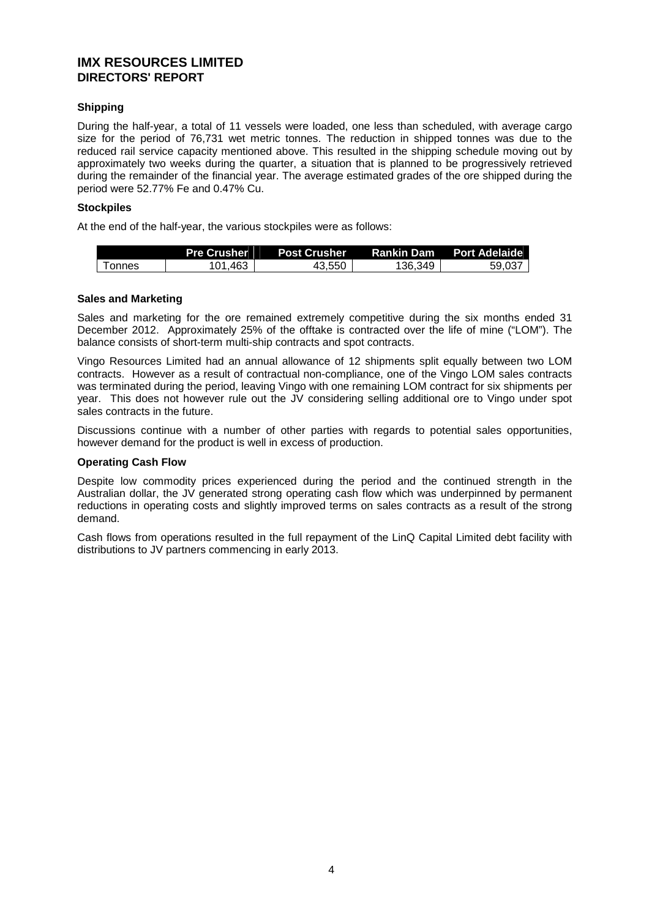## **Shipping**

During the half-year, a total of 11 vessels were loaded, one less than scheduled, with average cargo size for the period of 76,731 wet metric tonnes. The reduction in shipped tonnes was due to the reduced rail service capacity mentioned above. This resulted in the shipping schedule moving out by approximately two weeks during the quarter, a situation that is planned to be progressively retrieved during the remainder of the financial year. The average estimated grades of the ore shipped during the period were 52.77% Fe and 0.47% Cu.

## **Stockpiles**

At the end of the half-year, the various stockpiles were as follows:

|        | <b>Pre Crusher</b> |        |         | Post Crusher   Rankin Dam  Port Adelaide \ |
|--------|--------------------|--------|---------|--------------------------------------------|
| Tonnes | 101.463            | 43,550 | 136.349 | 59.037                                     |

## **Sales and Marketing**

Sales and marketing for the ore remained extremely competitive during the six months ended 31 December 2012. Approximately 25% of the offtake is contracted over the life of mine ("LOM"). The balance consists of short-term multi-ship contracts and spot contracts.

Vingo Resources Limited had an annual allowance of 12 shipments split equally between two LOM contracts. However as a result of contractual non-compliance, one of the Vingo LOM sales contracts was terminated during the period, leaving Vingo with one remaining LOM contract for six shipments per year. This does not however rule out the JV considering selling additional ore to Vingo under spot sales contracts in the future.

Discussions continue with a number of other parties with regards to potential sales opportunities, however demand for the product is well in excess of production.

## **Operating Cash Flow**

Despite low commodity prices experienced during the period and the continued strength in the Australian dollar, the JV generated strong operating cash flow which was underpinned by permanent reductions in operating costs and slightly improved terms on sales contracts as a result of the strong demand.

Cash flows from operations resulted in the full repayment of the LinQ Capital Limited debt facility with distributions to JV partners commencing in early 2013.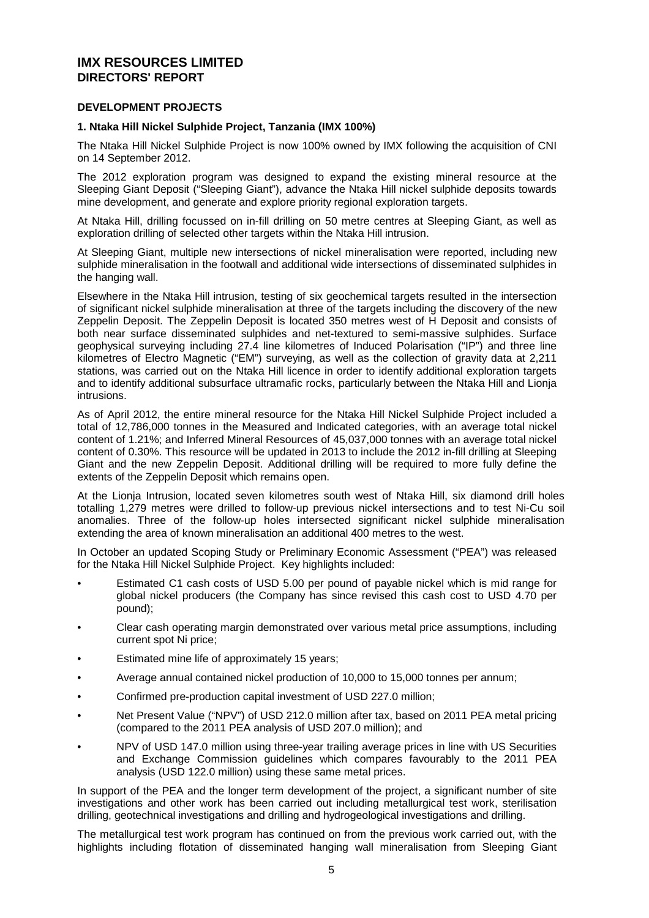## **DEVELOPMENT PROJECTS**

## **1. Ntaka Hill Nickel Sulphide Project, Tanzania (IMX 100%)**

The Ntaka Hill Nickel Sulphide Project is now 100% owned by IMX following the acquisition of CNI on 14 September 2012.

The 2012 exploration program was designed to expand the existing mineral resource at the Sleeping Giant Deposit ("Sleeping Giant"), advance the Ntaka Hill nickel sulphide deposits towards mine development, and generate and explore priority regional exploration targets.

At Ntaka Hill, drilling focussed on in-fill drilling on 50 metre centres at Sleeping Giant, as well as exploration drilling of selected other targets within the Ntaka Hill intrusion.

At Sleeping Giant, multiple new intersections of nickel mineralisation were reported, including new sulphide mineralisation in the footwall and additional wide intersections of disseminated sulphides in the hanging wall.

Elsewhere in the Ntaka Hill intrusion, testing of six geochemical targets resulted in the intersection of significant nickel sulphide mineralisation at three of the targets including the discovery of the new Zeppelin Deposit. The Zeppelin Deposit is located 350 metres west of H Deposit and consists of both near surface disseminated sulphides and net-textured to semi-massive sulphides. Surface geophysical surveying including 27.4 line kilometres of Induced Polarisation ("IP") and three line kilometres of Electro Magnetic ("EM") surveying, as well as the collection of gravity data at 2,211 stations, was carried out on the Ntaka Hill licence in order to identify additional exploration targets and to identify additional subsurface ultramafic rocks, particularly between the Ntaka Hill and Lionja intrusions.

As of April 2012, the entire mineral resource for the Ntaka Hill Nickel Sulphide Project included a total of 12,786,000 tonnes in the Measured and Indicated categories, with an average total nickel content of 1.21%; and Inferred Mineral Resources of 45,037,000 tonnes with an average total nickel content of 0.30%. This resource will be updated in 2013 to include the 2012 in-fill drilling at Sleeping Giant and the new Zeppelin Deposit. Additional drilling will be required to more fully define the extents of the Zeppelin Deposit which remains open.

At the Lionja Intrusion, located seven kilometres south west of Ntaka Hill, six diamond drill holes totalling 1,279 metres were drilled to follow-up previous nickel intersections and to test Ni-Cu soil anomalies. Three of the follow-up holes intersected significant nickel sulphide mineralisation extending the area of known mineralisation an additional 400 metres to the west.

In October an updated Scoping Study or Preliminary Economic Assessment ("PEA") was released for the Ntaka Hill Nickel Sulphide Project. Key highlights included:

- Estimated C1 cash costs of USD 5.00 per pound of payable nickel which is mid range for global nickel producers (the Company has since revised this cash cost to USD 4.70 per pound);
- Clear cash operating margin demonstrated over various metal price assumptions, including current spot Ni price;
- Estimated mine life of approximately 15 years;
- Average annual contained nickel production of 10,000 to 15,000 tonnes per annum;
- Confirmed pre-production capital investment of USD 227.0 million;
- Net Present Value ("NPV") of USD 212.0 million after tax, based on 2011 PEA metal pricing (compared to the 2011 PEA analysis of USD 207.0 million); and
- NPV of USD 147.0 million using three-year trailing average prices in line with US Securities and Exchange Commission guidelines which compares favourably to the 2011 PEA analysis (USD 122.0 million) using these same metal prices.

In support of the PEA and the longer term development of the project, a significant number of site investigations and other work has been carried out including metallurgical test work, sterilisation drilling, geotechnical investigations and drilling and hydrogeological investigations and drilling.

The metallurgical test work program has continued on from the previous work carried out, with the highlights including flotation of disseminated hanging wall mineralisation from Sleeping Giant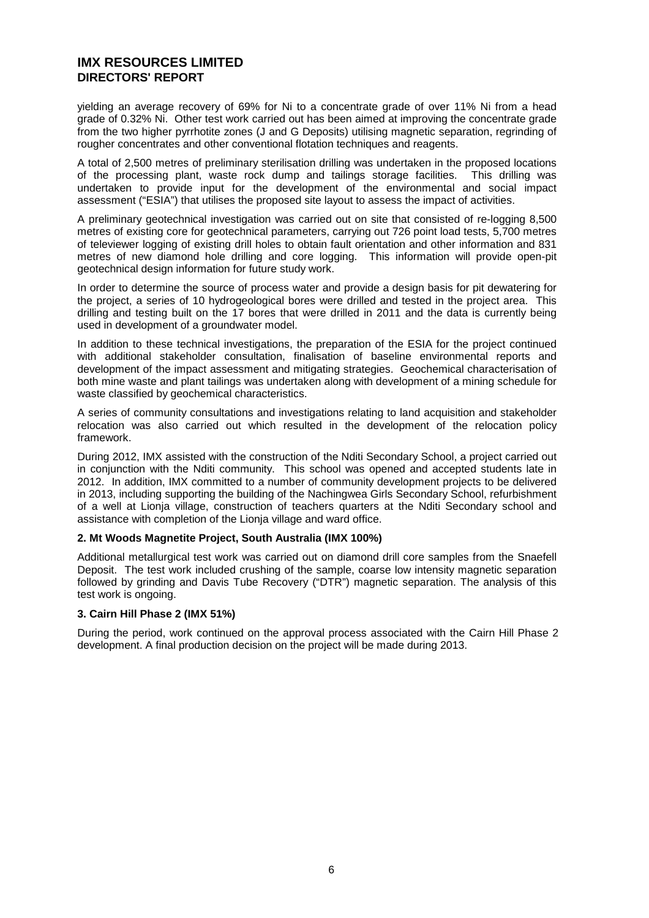yielding an average recovery of 69% for Ni to a concentrate grade of over 11% Ni from a head grade of 0.32% Ni. Other test work carried out has been aimed at improving the concentrate grade from the two higher pyrrhotite zones (J and G Deposits) utilising magnetic separation, regrinding of rougher concentrates and other conventional flotation techniques and reagents.

A total of 2,500 metres of preliminary sterilisation drilling was undertaken in the proposed locations of the processing plant, waste rock dump and tailings storage facilities. This drilling was undertaken to provide input for the development of the environmental and social impact assessment ("ESIA") that utilises the proposed site layout to assess the impact of activities.

A preliminary geotechnical investigation was carried out on site that consisted of re-logging 8,500 metres of existing core for geotechnical parameters, carrying out 726 point load tests, 5,700 metres of televiewer logging of existing drill holes to obtain fault orientation and other information and 831 metres of new diamond hole drilling and core logging. This information will provide open-pit geotechnical design information for future study work.

In order to determine the source of process water and provide a design basis for pit dewatering for the project, a series of 10 hydrogeological bores were drilled and tested in the project area. This drilling and testing built on the 17 bores that were drilled in 2011 and the data is currently being used in development of a groundwater model.

In addition to these technical investigations, the preparation of the ESIA for the project continued with additional stakeholder consultation, finalisation of baseline environmental reports and development of the impact assessment and mitigating strategies. Geochemical characterisation of both mine waste and plant tailings was undertaken along with development of a mining schedule for waste classified by geochemical characteristics.

A series of community consultations and investigations relating to land acquisition and stakeholder relocation was also carried out which resulted in the development of the relocation policy framework.

During 2012, IMX assisted with the construction of the Nditi Secondary School, a project carried out in conjunction with the Nditi community. This school was opened and accepted students late in 2012. In addition, IMX committed to a number of community development projects to be delivered in 2013, including supporting the building of the Nachingwea Girls Secondary School, refurbishment of a well at Lionja village, construction of teachers quarters at the Nditi Secondary school and assistance with completion of the Lionja village and ward office.

#### **2. Mt Woods Magnetite Project, South Australia (IMX 100%)**

Additional metallurgical test work was carried out on diamond drill core samples from the Snaefell Deposit. The test work included crushing of the sample, coarse low intensity magnetic separation followed by grinding and Davis Tube Recovery ("DTR") magnetic separation. The analysis of this test work is ongoing.

#### **3. Cairn Hill Phase 2 (IMX 51%)**

During the period, work continued on the approval process associated with the Cairn Hill Phase 2 development. A final production decision on the project will be made during 2013.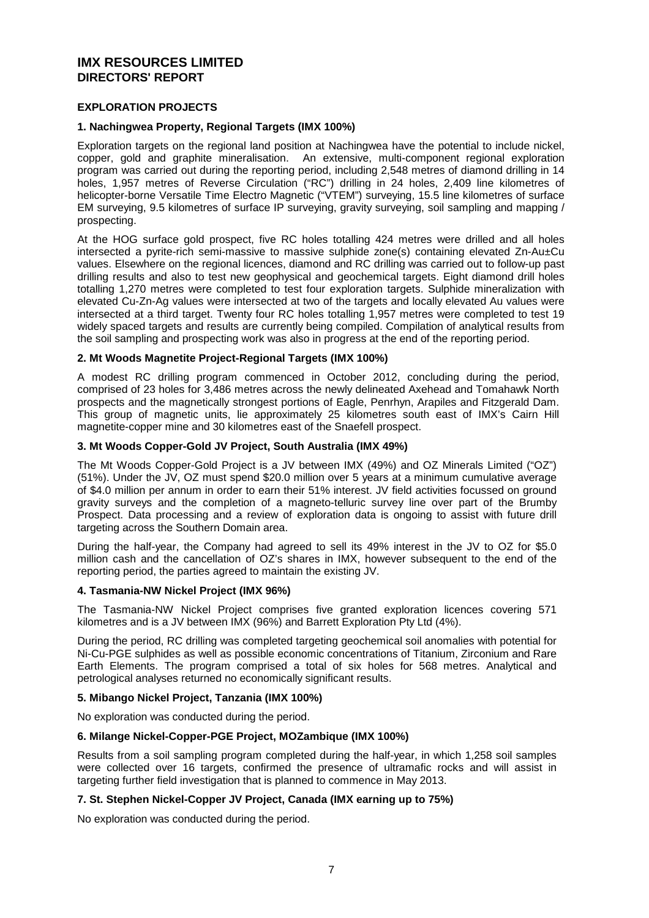## **EXPLORATION PROJECTS**

## **1. Nachingwea Property, Regional Targets (IMX 100%)**

Exploration targets on the regional land position at Nachingwea have the potential to include nickel, copper, gold and graphite mineralisation. An extensive, multi-component regional exploration program was carried out during the reporting period, including 2,548 metres of diamond drilling in 14 holes, 1,957 metres of Reverse Circulation ("RC") drilling in 24 holes, 2,409 line kilometres of helicopter-borne Versatile Time Electro Magnetic ("VTEM") surveying, 15.5 line kilometres of surface EM surveying, 9.5 kilometres of surface IP surveying, gravity surveying, soil sampling and mapping / prospecting.

At the HOG surface gold prospect, five RC holes totalling 424 metres were drilled and all holes intersected a pyrite-rich semi-massive to massive sulphide zone(s) containing elevated Zn-Au±Cu values. Elsewhere on the regional licences, diamond and RC drilling was carried out to follow-up past drilling results and also to test new geophysical and geochemical targets. Eight diamond drill holes totalling 1,270 metres were completed to test four exploration targets. Sulphide mineralization with elevated Cu-Zn-Ag values were intersected at two of the targets and locally elevated Au values were intersected at a third target. Twenty four RC holes totalling 1,957 metres were completed to test 19 widely spaced targets and results are currently being compiled. Compilation of analytical results from the soil sampling and prospecting work was also in progress at the end of the reporting period.

#### **2. Mt Woods Magnetite Project-Regional Targets (IMX 100%)**

A modest RC drilling program commenced in October 2012, concluding during the period, comprised of 23 holes for 3,486 metres across the newly delineated Axehead and Tomahawk North prospects and the magnetically strongest portions of Eagle, Penrhyn, Arapiles and Fitzgerald Dam. This group of magnetic units, lie approximately 25 kilometres south east of IMX's Cairn Hill magnetite-copper mine and 30 kilometres east of the Snaefell prospect.

## **3. Mt Woods Copper-Gold JV Project, South Australia (IMX 49%)**

The Mt Woods Copper-Gold Project is a JV between IMX (49%) and OZ Minerals Limited ("OZ") (51%). Under the JV, OZ must spend \$20.0 million over 5 years at a minimum cumulative average of \$4.0 million per annum in order to earn their 51% interest. JV field activities focussed on ground gravity surveys and the completion of a magneto-telluric survey line over part of the Brumby Prospect. Data processing and a review of exploration data is ongoing to assist with future drill targeting across the Southern Domain area.

During the half-year, the Company had agreed to sell its 49% interest in the JV to OZ for \$5.0 million cash and the cancellation of OZ's shares in IMX, however subsequent to the end of the reporting period, the parties agreed to maintain the existing JV.

#### **4. Tasmania-NW Nickel Project (IMX 96%)**

The Tasmania-NW Nickel Project comprises five granted exploration licences covering 571 kilometres and is a JV between IMX (96%) and Barrett Exploration Pty Ltd (4%).

During the period, RC drilling was completed targeting geochemical soil anomalies with potential for Ni-Cu-PGE sulphides as well as possible economic concentrations of Titanium, Zirconium and Rare Earth Elements. The program comprised a total of six holes for 568 metres. Analytical and petrological analyses returned no economically significant results.

#### **5. Mibango Nickel Project, Tanzania (IMX 100%)**

No exploration was conducted during the period.

## **6. Milange Nickel-Copper-PGE Project, MOZambique (IMX 100%)**

Results from a soil sampling program completed during the half-year, in which 1,258 soil samples were collected over 16 targets, confirmed the presence of ultramafic rocks and will assist in targeting further field investigation that is planned to commence in May 2013.

#### **7. St. Stephen Nickel-Copper JV Project, Canada (IMX earning up to 75%)**

No exploration was conducted during the period.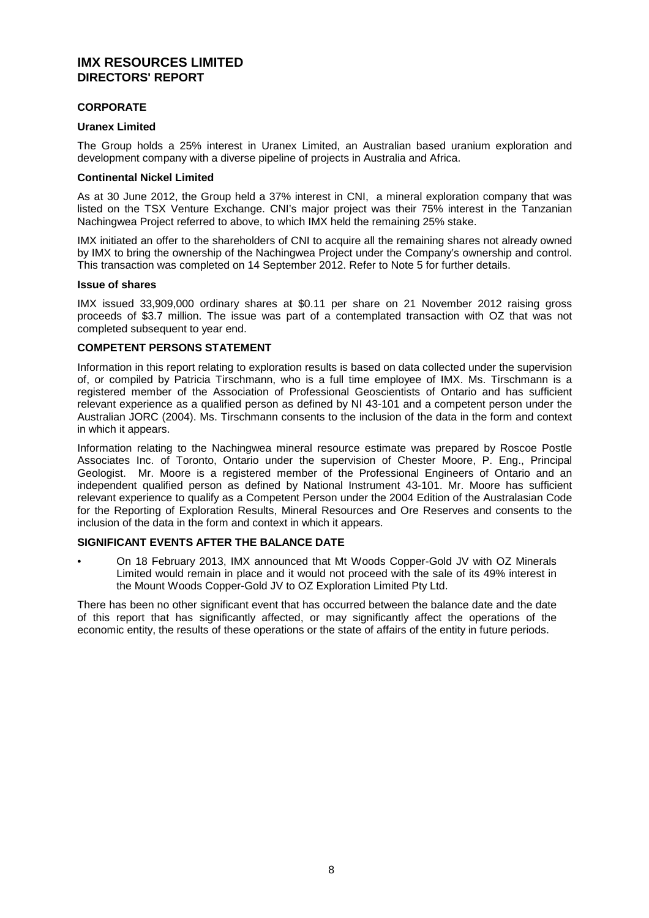## **CORPORATE**

## **Uranex Limited**

The Group holds a 25% interest in Uranex Limited, an Australian based uranium exploration and development company with a diverse pipeline of projects in Australia and Africa.

## **Continental Nickel Limited**

As at 30 June 2012, the Group held a 37% interest in CNI, a mineral exploration company that was listed on the TSX Venture Exchange. CNI's major project was their 75% interest in the Tanzanian Nachingwea Project referred to above, to which IMX held the remaining 25% stake.

IMX initiated an offer to the shareholders of CNI to acquire all the remaining shares not already owned by IMX to bring the ownership of the Nachingwea Project under the Company's ownership and control. This transaction was completed on 14 September 2012. Refer to Note 5 for further details.

#### **Issue of shares**

IMX issued 33,909,000 ordinary shares at \$0.11 per share on 21 November 2012 raising gross proceeds of \$3.7 million. The issue was part of a contemplated transaction with OZ that was not completed subsequent to year end.

## **COMPETENT PERSONS STATEMENT**

Information in this report relating to exploration results is based on data collected under the supervision of, or compiled by Patricia Tirschmann, who is a full time employee of IMX. Ms. Tirschmann is a registered member of the Association of Professional Geoscientists of Ontario and has sufficient relevant experience as a qualified person as defined by NI 43-101 and a competent person under the Australian JORC (2004). Ms. Tirschmann consents to the inclusion of the data in the form and context in which it appears.

Information relating to the Nachingwea mineral resource estimate was prepared by Roscoe Postle Associates Inc. of Toronto, Ontario under the supervision of Chester Moore, P. Eng., Principal Geologist. Mr. Moore is a registered member of the Professional Engineers of Ontario and an independent qualified person as defined by National Instrument 43-101. Mr. Moore has sufficient relevant experience to qualify as a Competent Person under the 2004 Edition of the Australasian Code for the Reporting of Exploration Results, Mineral Resources and Ore Reserves and consents to the inclusion of the data in the form and context in which it appears.

## **SIGNIFICANT EVENTS AFTER THE BALANCE DATE**

• On 18 February 2013, IMX announced that Mt Woods Copper-Gold JV with OZ Minerals Limited would remain in place and it would not proceed with the sale of its 49% interest in the Mount Woods Copper-Gold JV to OZ Exploration Limited Pty Ltd.

There has been no other significant event that has occurred between the balance date and the date of this report that has significantly affected, or may significantly affect the operations of the economic entity, the results of these operations or the state of affairs of the entity in future periods.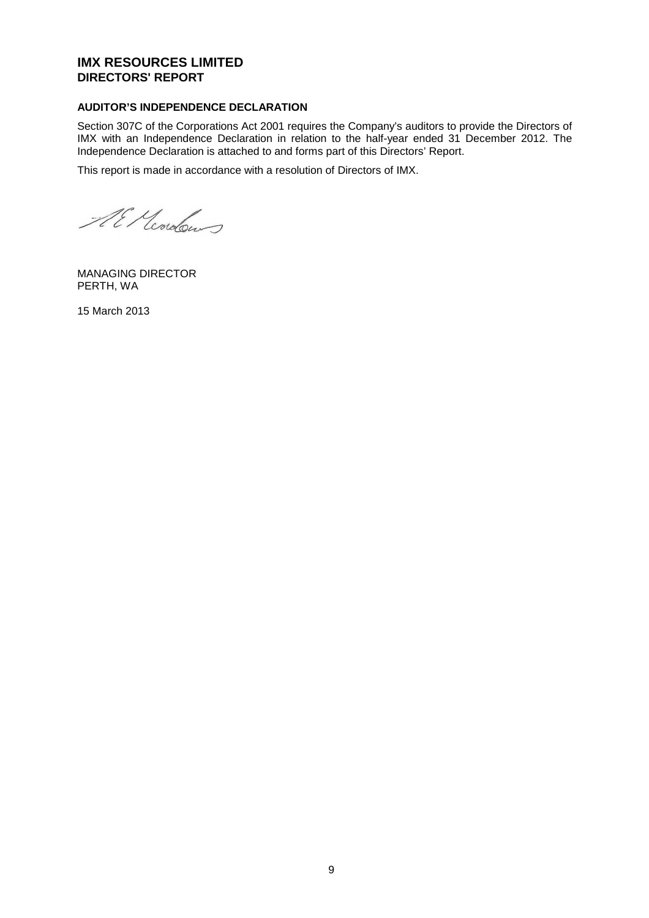## **AUDITOR'S INDEPENDENCE DECLARATION**

Section 307C of the Corporations Act 2001 requires the Company's auditors to provide the Directors of IMX with an Independence Declaration in relation to the half-year ended 31 December 2012. The Independence Declaration is attached to and forms part of this Directors' Report.

This report is made in accordance with a resolution of Directors of IMX.

Al Mordon

MANAGING DIRECTOR PERTH, WA

15 March 2013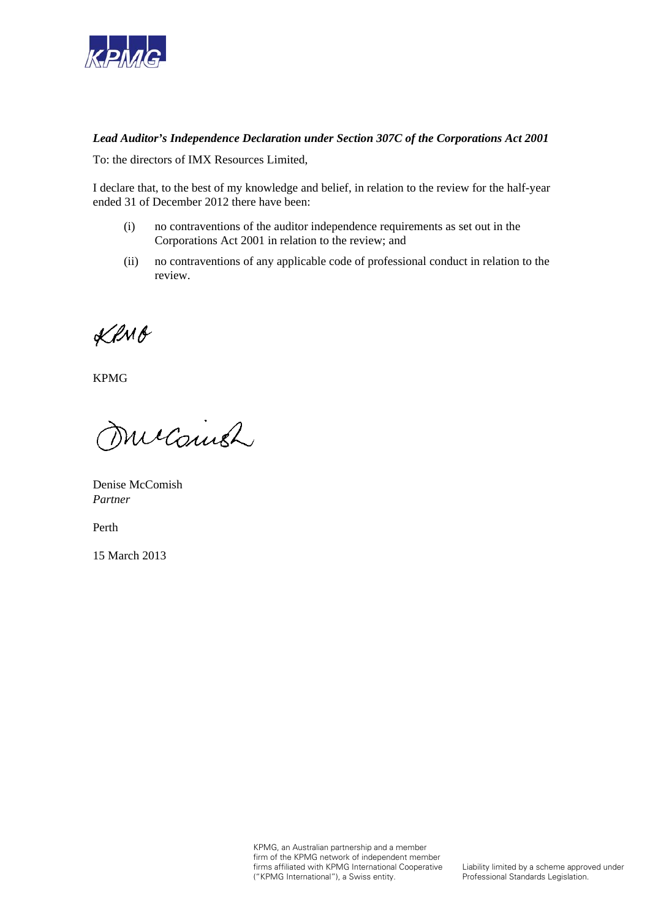

## *Lead Auditor's Independence Declaration under Section 307C of the Corporations Act 2001*

To: the directors of IMX Resources Limited,

I declare that, to the best of my knowledge and belief, in relation to the review for the half-year ended 31 of December 2012 there have been:

- (i) no contraventions of the auditor independence requirements as set out in the Corporations Act 2001 in relation to the review; and
- (ii) no contraventions of any applicable code of professional conduct in relation to the review.

KRMB

KPMG

Micainsh

Denise McComish *Partner*

Perth

15 March 2013

KPMG, an Australian partnership and a member firm of the KPMG network of independent member firms affiliated with KPMG International Cooperative ("KPMG International"), a Swiss entity.

Liability limited by a scheme approved under Professional Standards Legislation.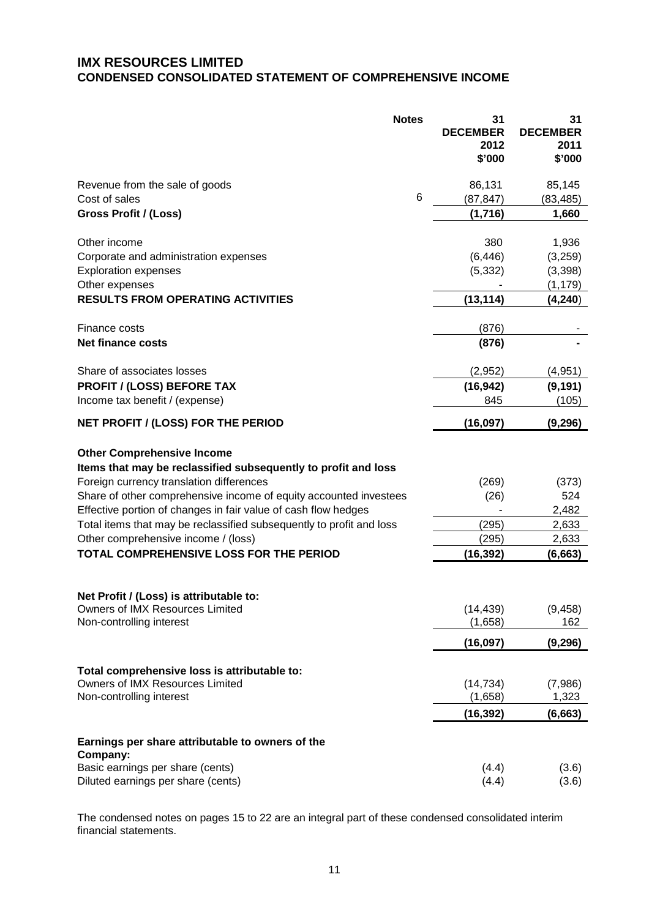## **IMX RESOURCES LIMITED CONDENSED CONSOLIDATED STATEMENT OF COMPREHENSIVE INCOME**

|                                                                                                                                                                                                                                                                                                                                                                                                       | <b>Notes</b>    | 31<br><b>DECEMBER</b><br>2012<br>\$'000 | 31<br><b>DECEMBER</b><br>2011<br>\$'000 |
|-------------------------------------------------------------------------------------------------------------------------------------------------------------------------------------------------------------------------------------------------------------------------------------------------------------------------------------------------------------------------------------------------------|-----------------|-----------------------------------------|-----------------------------------------|
| Revenue from the sale of goods                                                                                                                                                                                                                                                                                                                                                                        |                 | 86,131                                  | 85,145                                  |
| Cost of sales                                                                                                                                                                                                                                                                                                                                                                                         | $6\phantom{1}6$ | (87, 847)                               | (83, 485)                               |
| Gross Profit / (Loss)                                                                                                                                                                                                                                                                                                                                                                                 |                 | (1,716)                                 | 1,660                                   |
| Other income                                                                                                                                                                                                                                                                                                                                                                                          |                 | 380                                     | 1,936                                   |
| Corporate and administration expenses                                                                                                                                                                                                                                                                                                                                                                 |                 | (6, 446)                                | (3,259)                                 |
| <b>Exploration expenses</b>                                                                                                                                                                                                                                                                                                                                                                           |                 | (5, 332)                                | (3,398)                                 |
| Other expenses                                                                                                                                                                                                                                                                                                                                                                                        |                 |                                         | (1, 179)                                |
| <b>RESULTS FROM OPERATING ACTIVITIES</b>                                                                                                                                                                                                                                                                                                                                                              |                 | (13, 114)                               | (4, 240)                                |
| Finance costs                                                                                                                                                                                                                                                                                                                                                                                         |                 | (876)                                   |                                         |
| <b>Net finance costs</b>                                                                                                                                                                                                                                                                                                                                                                              |                 | (876)                                   |                                         |
| Share of associates losses                                                                                                                                                                                                                                                                                                                                                                            |                 | (2,952)                                 | (4,951)                                 |
| <b>PROFIT / (LOSS) BEFORE TAX</b>                                                                                                                                                                                                                                                                                                                                                                     |                 | (16, 942)                               | (9, 191)                                |
| Income tax benefit / (expense)                                                                                                                                                                                                                                                                                                                                                                        |                 | 845                                     | (105)                                   |
| NET PROFIT / (LOSS) FOR THE PERIOD                                                                                                                                                                                                                                                                                                                                                                    |                 | (16, 097)                               | (9, 296)                                |
| <b>Other Comprehensive Income</b><br>Items that may be reclassified subsequently to profit and loss<br>Foreign currency translation differences<br>Share of other comprehensive income of equity accounted investees<br>Effective portion of changes in fair value of cash flow hedges<br>Total items that may be reclassified subsequently to profit and loss<br>Other comprehensive income / (loss) |                 | (269)<br>(26)<br>(295)<br>(295)         | (373)<br>524<br>2,482<br>2,633<br>2,633 |
| TOTAL COMPREHENSIVE LOSS FOR THE PERIOD                                                                                                                                                                                                                                                                                                                                                               |                 | (16, 392)                               | (6, 663)                                |
| Net Profit / (Loss) is attributable to:<br>Owners of IMX Resources Limited<br>Non-controlling interest                                                                                                                                                                                                                                                                                                |                 | (14, 439)<br>(1,658)<br>(16, 097)       | (9, 458)<br>162<br>(9, 296)             |
| Total comprehensive loss is attributable to:                                                                                                                                                                                                                                                                                                                                                          |                 |                                         |                                         |
| Owners of IMX Resources Limited<br>Non-controlling interest                                                                                                                                                                                                                                                                                                                                           |                 | (14, 734)<br>(1,658)                    | (7,986)<br>1,323                        |
|                                                                                                                                                                                                                                                                                                                                                                                                       |                 | (16, 392)                               | (6,663)                                 |
| Earnings per share attributable to owners of the<br>Company:                                                                                                                                                                                                                                                                                                                                          |                 |                                         |                                         |
| Basic earnings per share (cents)<br>Diluted earnings per share (cents)                                                                                                                                                                                                                                                                                                                                |                 | (4.4)<br>(4.4)                          | (3.6)<br>(3.6)                          |

The condensed notes on pages 15 to 22 are an integral part of these condensed consolidated interim financial statements.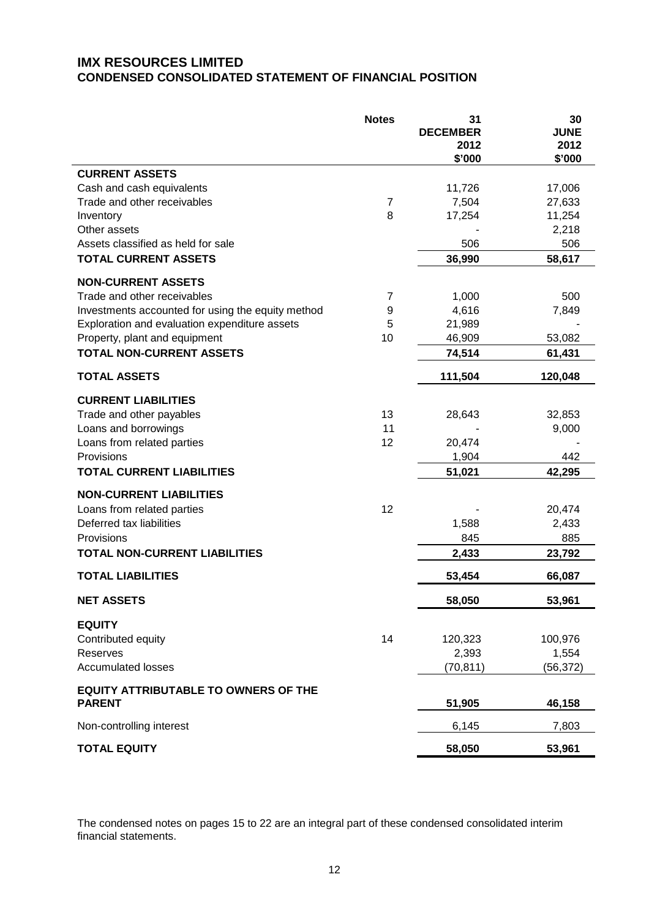## **IMX RESOURCES LIMITED CONDENSED CONSOLIDATED STATEMENT OF FINANCIAL POSITION**

|                                                   | <b>Notes</b>   | 31<br><b>DECEMBER</b><br>2012<br>\$'000 | 30<br><b>JUNE</b><br>2012<br>\$'000 |
|---------------------------------------------------|----------------|-----------------------------------------|-------------------------------------|
| <b>CURRENT ASSETS</b>                             |                |                                         |                                     |
| Cash and cash equivalents                         |                | 11,726                                  | 17,006                              |
| Trade and other receivables                       | $\overline{7}$ | 7,504                                   | 27,633                              |
| Inventory                                         | 8              | 17,254                                  | 11,254                              |
| Other assets                                      |                |                                         | 2,218                               |
| Assets classified as held for sale                |                | 506                                     | 506                                 |
| <b>TOTAL CURRENT ASSETS</b>                       |                | 36,990                                  | 58,617                              |
| <b>NON-CURRENT ASSETS</b>                         |                |                                         |                                     |
| Trade and other receivables                       | 7              | 1,000                                   | 500                                 |
| Investments accounted for using the equity method | 9              | 4,616                                   | 7,849                               |
| Exploration and evaluation expenditure assets     | 5              | 21,989                                  |                                     |
| Property, plant and equipment                     | 10             | 46,909                                  | 53,082                              |
| <b>TOTAL NON-CURRENT ASSETS</b>                   |                | 74,514                                  | 61,431                              |
| <b>TOTAL ASSETS</b>                               |                | 111,504                                 | 120,048                             |
| <b>CURRENT LIABILITIES</b>                        |                |                                         |                                     |
| Trade and other payables                          | 13             | 28,643                                  | 32,853                              |
| Loans and borrowings                              | 11             |                                         | 9,000                               |
| Loans from related parties                        | 12             | 20,474                                  |                                     |
| Provisions                                        |                | 1,904                                   | 442                                 |
| <b>TOTAL CURRENT LIABILITIES</b>                  |                | 51,021                                  | 42,295                              |
| <b>NON-CURRENT LIABILITIES</b>                    |                |                                         |                                     |
| Loans from related parties                        | 12             |                                         | 20,474                              |
| Deferred tax liabilities                          |                | 1,588                                   | 2,433                               |
| Provisions                                        |                | 845                                     | 885                                 |
| <b>TOTAL NON-CURRENT LIABILITIES</b>              |                | 2,433                                   | 23,792                              |
| <b>TOTAL LIABILITIES</b>                          |                | 53,454                                  | 66,087                              |
| <b>NET ASSETS</b>                                 |                | 58,050                                  | 53,961                              |
| <b>EQUITY</b>                                     |                |                                         |                                     |
| Contributed equity                                | 14             | 120,323                                 | 100,976                             |
| Reserves                                          |                | 2,393                                   | 1,554                               |
| <b>Accumulated losses</b>                         |                | (70, 811)                               | (56, 372)                           |
| <b>EQUITY ATTRIBUTABLE TO OWNERS OF THE</b>       |                |                                         |                                     |
| <b>PARENT</b>                                     |                | 51,905                                  | 46,158                              |
| Non-controlling interest                          |                | 6,145                                   | 7,803                               |
| <b>TOTAL EQUITY</b>                               |                | 58,050                                  | 53,961                              |

The condensed notes on pages 15 to 22 are an integral part of these condensed consolidated interim financial statements.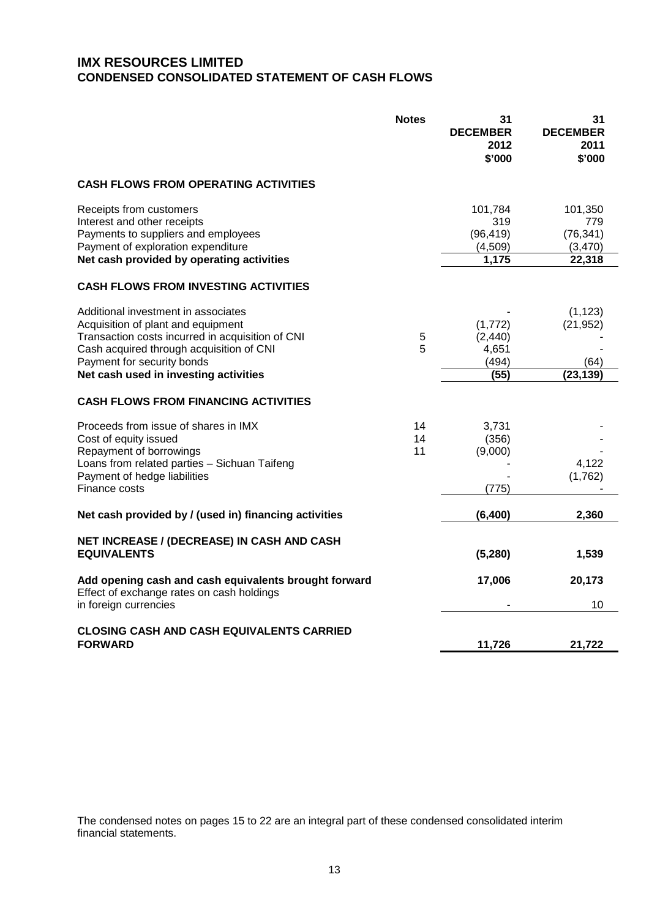## **IMX RESOURCES LIMITED CONDENSED CONSOLIDATED STATEMENT OF CASH FLOWS**

|                                                                                                                                                                                                                                                  | <b>Notes</b>   | 31<br><b>DECEMBER</b><br>2012<br>\$'000         | 31<br><b>DECEMBER</b><br>2011<br>\$'000          |
|--------------------------------------------------------------------------------------------------------------------------------------------------------------------------------------------------------------------------------------------------|----------------|-------------------------------------------------|--------------------------------------------------|
| <b>CASH FLOWS FROM OPERATING ACTIVITIES</b>                                                                                                                                                                                                      |                |                                                 |                                                  |
| Receipts from customers<br>Interest and other receipts<br>Payments to suppliers and employees<br>Payment of exploration expenditure<br>Net cash provided by operating activities                                                                 |                | 101,784<br>319<br>(96, 419)<br>(4,509)<br>1,175 | 101,350<br>779<br>(76, 341)<br>(3,470)<br>22,318 |
| <b>CASH FLOWS FROM INVESTING ACTIVITIES</b>                                                                                                                                                                                                      |                |                                                 |                                                  |
| Additional investment in associates<br>Acquisition of plant and equipment<br>Transaction costs incurred in acquisition of CNI<br>Cash acquired through acquisition of CNI<br>Payment for security bonds<br>Net cash used in investing activities | 5<br>5         | (1,772)<br>(2, 440)<br>4,651<br>(494)<br>(55)   | (1, 123)<br>(21, 952)<br>(64)<br>(23, 139)       |
| <b>CASH FLOWS FROM FINANCING ACTIVITIES</b>                                                                                                                                                                                                      |                |                                                 |                                                  |
| Proceeds from issue of shares in IMX<br>Cost of equity issued<br>Repayment of borrowings<br>Loans from related parties - Sichuan Taifeng<br>Payment of hedge liabilities<br>Finance costs                                                        | 14<br>14<br>11 | 3,731<br>(356)<br>(9,000)<br>(775)              | 4,122<br>(1,762)                                 |
| Net cash provided by / (used in) financing activities                                                                                                                                                                                            |                | (6, 400)                                        | 2,360                                            |
| NET INCREASE / (DECREASE) IN CASH AND CASH<br><b>EQUIVALENTS</b>                                                                                                                                                                                 |                | (5,280)                                         | 1,539                                            |
| Add opening cash and cash equivalents brought forward<br>Effect of exchange rates on cash holdings<br>in foreign currencies                                                                                                                      |                | 17,006                                          | 20,173<br>10                                     |
| <b>CLOSING CASH AND CASH EQUIVALENTS CARRIED</b><br><b>FORWARD</b>                                                                                                                                                                               |                | 11,726                                          | 21,722                                           |

The condensed notes on pages 15 to 22 are an integral part of these condensed consolidated interim financial statements.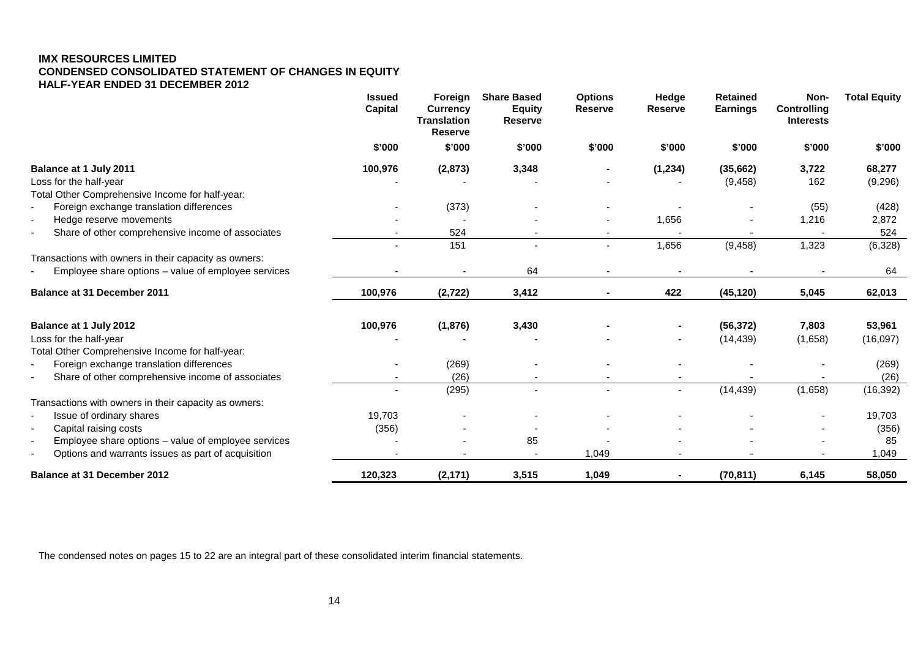## **IMX RESOURCES LIMITED CONDENSED CONSOLIDATED STATEMENT OF CHANGES IN EQUITY HALF-YEAR ENDED 31 DECEMBER 2012**

|                                                                                | <b>Issued</b><br><b>Capital</b> | Foreign<br><b>Currency</b><br><b>Translation</b><br><b>Reserve</b> | <b>Share Based</b><br><b>Equity</b><br><b>Reserve</b> | <b>Options</b><br><b>Reserve</b> | Hedge<br><b>Reserve</b>  | <b>Retained</b><br><b>Earnings</b> | Non-<br><b>Controlling</b><br><b>Interests</b> | <b>Total Equity</b> |
|--------------------------------------------------------------------------------|---------------------------------|--------------------------------------------------------------------|-------------------------------------------------------|----------------------------------|--------------------------|------------------------------------|------------------------------------------------|---------------------|
|                                                                                | \$'000                          | \$'000                                                             | \$'000                                                | \$'000                           | \$'000                   | \$'000                             | \$'000                                         | \$'000              |
| Balance at 1 July 2011                                                         | 100,976                         | (2, 873)                                                           | 3,348                                                 |                                  | (1, 234)                 | (35,662)                           | 3,722                                          | 68,277              |
| Loss for the half-year                                                         |                                 |                                                                    |                                                       |                                  |                          | (9, 458)                           | 162                                            | (9,296)             |
| Total Other Comprehensive Income for half-year:                                |                                 |                                                                    |                                                       |                                  |                          |                                    |                                                |                     |
| Foreign exchange translation differences<br>$\overline{\phantom{a}}$           |                                 | (373)                                                              |                                                       |                                  |                          |                                    | (55)                                           | (428)               |
| Hedge reserve movements<br>$\overline{\phantom{a}}$                            |                                 | $\blacksquare$                                                     |                                                       |                                  | 1,656                    |                                    | 1,216                                          | 2,872               |
| Share of other comprehensive income of associates<br>$\blacksquare$            |                                 | 524                                                                |                                                       |                                  |                          |                                    |                                                | 524                 |
|                                                                                |                                 | 151                                                                |                                                       | $\blacksquare$                   | 1,656                    | (9, 458)                           | 1,323                                          | (6,328)             |
| Transactions with owners in their capacity as owners:                          |                                 |                                                                    |                                                       |                                  |                          |                                    |                                                |                     |
| Employee share options – value of employee services                            |                                 | $\blacksquare$                                                     | 64                                                    | $\overline{\phantom{a}}$         | $\blacksquare$           |                                    |                                                | 64                  |
| Balance at 31 December 2011                                                    | 100,976                         | (2, 722)                                                           | 3,412                                                 |                                  | 422                      | (45, 120)                          | 5,045                                          | 62,013              |
| Balance at 1 July 2012                                                         | 100,976                         | (1,876)                                                            | 3,430                                                 |                                  |                          | (56, 372)                          | 7,803                                          | 53,961              |
| Loss for the half-year                                                         |                                 |                                                                    |                                                       |                                  |                          | (14, 439)                          | (1,658)                                        | (16,097)            |
| Total Other Comprehensive Income for half-year:                                |                                 |                                                                    |                                                       |                                  |                          |                                    |                                                |                     |
| Foreign exchange translation differences                                       |                                 | (269)                                                              |                                                       |                                  |                          |                                    |                                                | (269)               |
| Share of other comprehensive income of associates                              | $\overline{\phantom{a}}$        | (26)                                                               |                                                       |                                  | $\overline{\phantom{a}}$ |                                    |                                                | (26)                |
|                                                                                |                                 | (295)                                                              |                                                       | $\sim$                           | $\blacksquare$           | (14, 439)                          | (1,658)                                        | (16, 392)           |
| Transactions with owners in their capacity as owners:                          |                                 |                                                                    |                                                       |                                  |                          |                                    |                                                |                     |
| Issue of ordinary shares<br>$\overline{\phantom{a}}$                           | 19,703                          |                                                                    |                                                       |                                  |                          |                                    |                                                | 19,703              |
| Capital raising costs<br>$\overline{\phantom{a}}$                              | (356)                           |                                                                    |                                                       |                                  |                          |                                    |                                                | (356)               |
| Employee share options - value of employee services<br>$\blacksquare$          |                                 |                                                                    | 85                                                    |                                  |                          |                                    |                                                | 85                  |
| Options and warrants issues as part of acquisition<br>$\overline{\phantom{a}}$ |                                 |                                                                    |                                                       | 1,049                            |                          |                                    |                                                | 1,049               |
| <b>Balance at 31 December 2012</b>                                             | 120,323                         | (2, 171)                                                           | 3,515                                                 | 1,049                            |                          | (70, 811)                          | 6,145                                          | 58,050              |

The condensed notes on pages 15 to 22 are an integral part of these consolidated interim financial statements.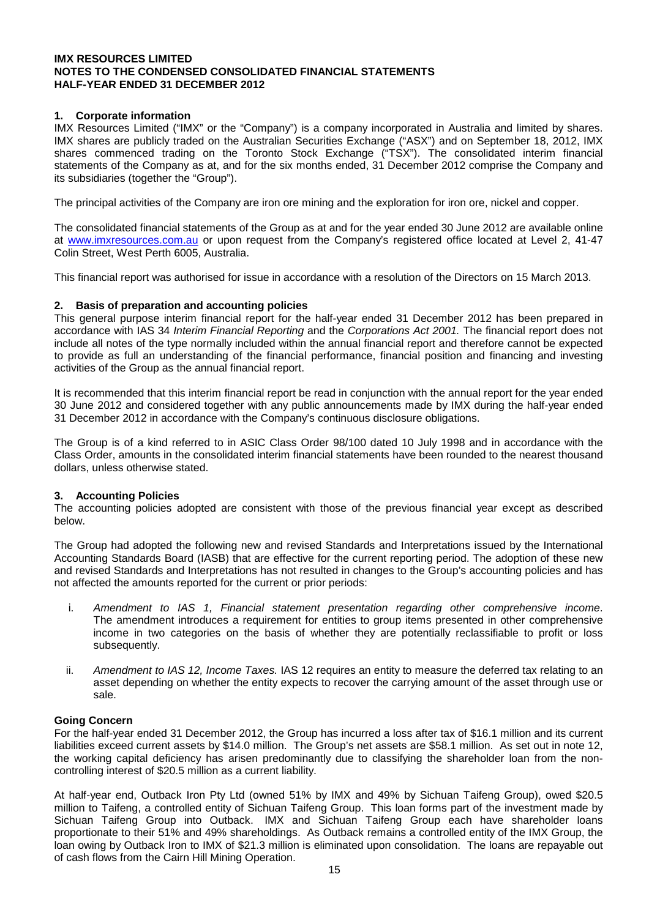## **1. Corporate information**

IMX Resources Limited ("IMX" or the "Company") is a company incorporated in Australia and limited by shares. IMX shares are publicly traded on the Australian Securities Exchange ("ASX") and on September 18, 2012, IMX shares commenced trading on the Toronto Stock Exchange ("TSX"). The consolidated interim financial statements of the Company as at, and for the six months ended, 31 December 2012 comprise the Company and its subsidiaries (together the "Group").

The principal activities of the Company are iron ore mining and the exploration for iron ore, nickel and copper.

The consolidated financial statements of the Group as at and for the year ended 30 June 2012 are available online at [www.imxresources.com.au](http://www.imxresources.com.au/) or upon request from the Company's registered office located at Level 2, 41-47 Colin Street, West Perth 6005, Australia.

This financial report was authorised for issue in accordance with a resolution of the Directors on 15 March 2013.

#### **2. Basis of preparation and accounting policies**

This general purpose interim financial report for the half-year ended 31 December 2012 has been prepared in accordance with IAS 34 *Interim Financial Reporting* and the *Corporations Act 2001.* The financial report does not include all notes of the type normally included within the annual financial report and therefore cannot be expected to provide as full an understanding of the financial performance, financial position and financing and investing activities of the Group as the annual financial report.

It is recommended that this interim financial report be read in conjunction with the annual report for the year ended 30 June 2012 and considered together with any public announcements made by IMX during the half-year ended 31 December 2012 in accordance with the Company's continuous disclosure obligations.

The Group is of a kind referred to in ASIC Class Order 98/100 dated 10 July 1998 and in accordance with the Class Order, amounts in the consolidated interim financial statements have been rounded to the nearest thousand dollars, unless otherwise stated.

#### **3. Accounting Policies**

The accounting policies adopted are consistent with those of the previous financial year except as described below.

The Group had adopted the following new and revised Standards and Interpretations issued by the International Accounting Standards Board (IASB) that are effective for the current reporting period. The adoption of these new and revised Standards and Interpretations has not resulted in changes to the Group's accounting policies and has not affected the amounts reported for the current or prior periods:

- i. *Amendment to IAS 1, Financial statement presentation regarding other comprehensive income*. The amendment introduces a requirement for entities to group items presented in other comprehensive income in two categories on the basis of whether they are potentially reclassifiable to profit or loss subsequently.
- ii. *Amendment to IAS 12, Income Taxes.* IAS 12 requires an entity to measure the deferred tax relating to an asset depending on whether the entity expects to recover the carrying amount of the asset through use or sale.

## **Going Concern**

For the half-year ended 31 December 2012, the Group has incurred a loss after tax of \$16.1 million and its current liabilities exceed current assets by \$14.0 million. The Group's net assets are \$58.1 million. As set out in note 12, the working capital deficiency has arisen predominantly due to classifying the shareholder loan from the noncontrolling interest of \$20.5 million as a current liability.

At half-year end, Outback Iron Pty Ltd (owned 51% by IMX and 49% by Sichuan Taifeng Group), owed \$20.5 million to Taifeng, a controlled entity of Sichuan Taifeng Group. This loan forms part of the investment made by Sichuan Taifeng Group into Outback. IMX and Sichuan Taifeng Group each have shareholder loans proportionate to their 51% and 49% shareholdings. As Outback remains a controlled entity of the IMX Group, the loan owing by Outback Iron to IMX of \$21.3 million is eliminated upon consolidation. The loans are repayable out of cash flows from the Cairn Hill Mining Operation.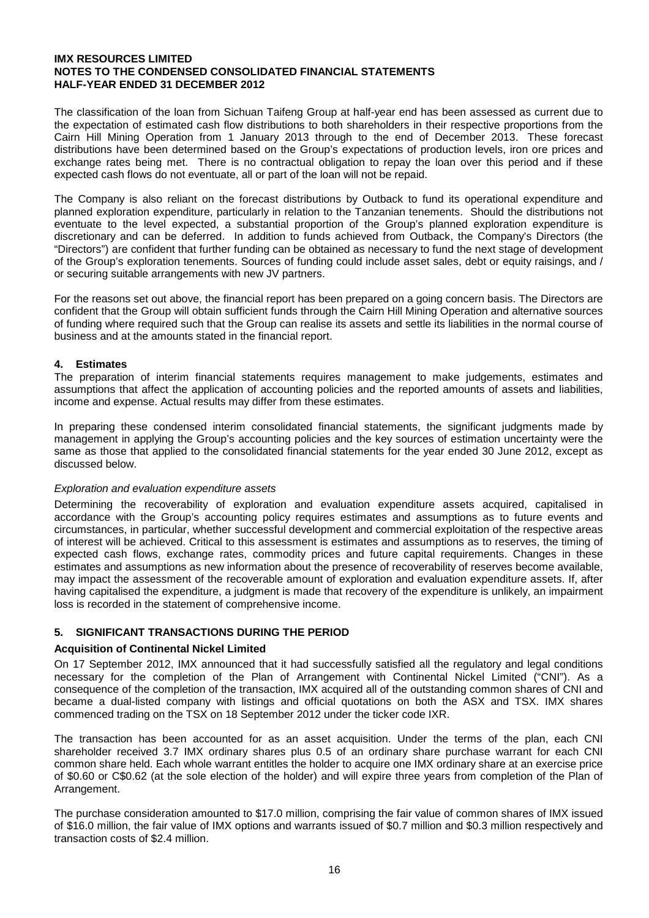The classification of the loan from Sichuan Taifeng Group at half-year end has been assessed as current due to the expectation of estimated cash flow distributions to both shareholders in their respective proportions from the Cairn Hill Mining Operation from 1 January 2013 through to the end of December 2013. These forecast distributions have been determined based on the Group's expectations of production levels, iron ore prices and exchange rates being met. There is no contractual obligation to repay the loan over this period and if these expected cash flows do not eventuate, all or part of the loan will not be repaid.

The Company is also reliant on the forecast distributions by Outback to fund its operational expenditure and planned exploration expenditure, particularly in relation to the Tanzanian tenements. Should the distributions not eventuate to the level expected, a substantial proportion of the Group's planned exploration expenditure is discretionary and can be deferred. In addition to funds achieved from Outback, the Company's Directors (the "Directors") are confident that further funding can be obtained as necessary to fund the next stage of development of the Group's exploration tenements. Sources of funding could include asset sales, debt or equity raisings, and / or securing suitable arrangements with new JV partners.

For the reasons set out above, the financial report has been prepared on a going concern basis. The Directors are confident that the Group will obtain sufficient funds through the Cairn Hill Mining Operation and alternative sources of funding where required such that the Group can realise its assets and settle its liabilities in the normal course of business and at the amounts stated in the financial report.

## **4. Estimates**

The preparation of interim financial statements requires management to make judgements, estimates and assumptions that affect the application of accounting policies and the reported amounts of assets and liabilities, income and expense. Actual results may differ from these estimates.

In preparing these condensed interim consolidated financial statements, the significant judgments made by management in applying the Group's accounting policies and the key sources of estimation uncertainty were the same as those that applied to the consolidated financial statements for the year ended 30 June 2012, except as discussed below.

#### *Exploration and evaluation expenditure assets*

Determining the recoverability of exploration and evaluation expenditure assets acquired, capitalised in accordance with the Group's accounting policy requires estimates and assumptions as to future events and circumstances, in particular, whether successful development and commercial exploitation of the respective areas of interest will be achieved. Critical to this assessment is estimates and assumptions as to reserves, the timing of expected cash flows, exchange rates, commodity prices and future capital requirements. Changes in these estimates and assumptions as new information about the presence of recoverability of reserves become available, may impact the assessment of the recoverable amount of exploration and evaluation expenditure assets. If, after having capitalised the expenditure, a judgment is made that recovery of the expenditure is unlikely, an impairment loss is recorded in the statement of comprehensive income.

## **5. SIGNIFICANT TRANSACTIONS DURING THE PERIOD**

#### **Acquisition of Continental Nickel Limited**

On 17 September 2012, IMX announced that it had successfully satisfied all the regulatory and legal conditions necessary for the completion of the Plan of Arrangement with Continental Nickel Limited ("CNI"). As a consequence of the completion of the transaction, IMX acquired all of the outstanding common shares of CNI and became a dual-listed company with listings and official quotations on both the ASX and TSX. IMX shares commenced trading on the TSX on 18 September 2012 under the ticker code IXR.

The transaction has been accounted for as an asset acquisition. Under the terms of the plan, each CNI shareholder received 3.7 IMX ordinary shares plus 0.5 of an ordinary share purchase warrant for each CNI common share held. Each whole warrant entitles the holder to acquire one IMX ordinary share at an exercise price of \$0.60 or C\$0.62 (at the sole election of the holder) and will expire three years from completion of the Plan of Arrangement.

The purchase consideration amounted to \$17.0 million, comprising the fair value of common shares of IMX issued of \$16.0 million, the fair value of IMX options and warrants issued of \$0.7 million and \$0.3 million respectively and transaction costs of \$2.4 million.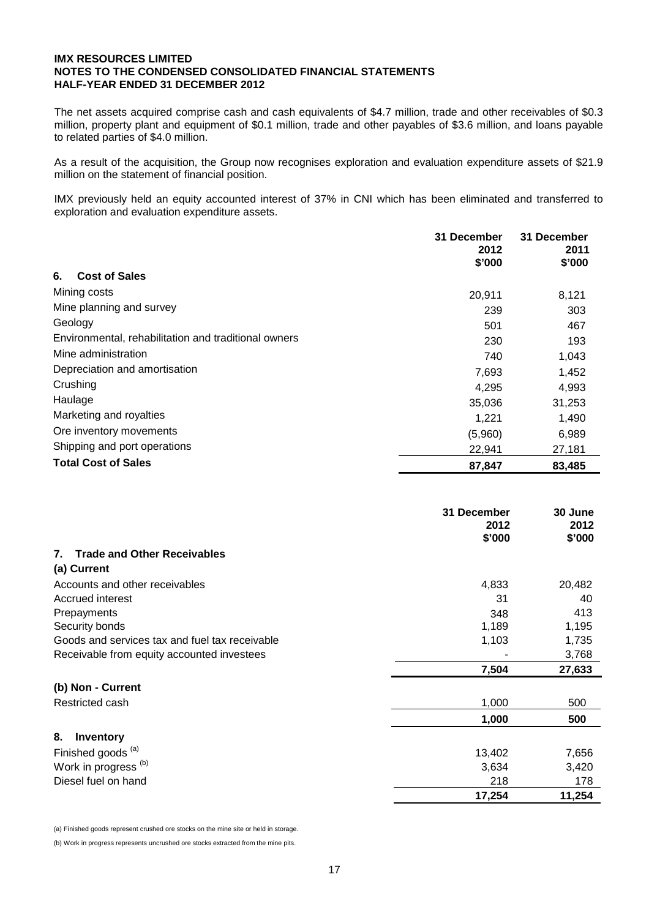The net assets acquired comprise cash and cash equivalents of \$4.7 million, trade and other receivables of \$0.3 million, property plant and equipment of \$0.1 million, trade and other payables of \$3.6 million, and loans payable to related parties of \$4.0 million.

As a result of the acquisition, the Group now recognises exploration and evaluation expenditure assets of \$21.9 million on the statement of financial position.

IMX previously held an equity accounted interest of 37% in CNI which has been eliminated and transferred to exploration and evaluation expenditure assets.

|                                                      | 31 December<br>2012<br>\$'000 | 31 December<br>2011<br>\$'000 |
|------------------------------------------------------|-------------------------------|-------------------------------|
| <b>Cost of Sales</b><br>6.                           |                               |                               |
| Mining costs                                         | 20,911                        | 8,121                         |
| Mine planning and survey                             | 239                           | 303                           |
| Geology                                              | 501                           | 467                           |
| Environmental, rehabilitation and traditional owners | 230                           | 193                           |
| Mine administration                                  | 740                           | 1,043                         |
| Depreciation and amortisation                        | 7,693                         | 1,452                         |
| Crushing                                             | 4,295                         | 4,993                         |
| Haulage                                              | 35,036                        | 31,253                        |
| Marketing and royalties                              | 1,221                         | 1,490                         |
| Ore inventory movements                              | (5,960)                       | 6,989                         |
| Shipping and port operations                         | 22,941                        | 27,181                        |
| <b>Total Cost of Sales</b>                           | 87,847                        | 83,485                        |

|                                                | 31 December<br>2012<br>\$'000 | 30 June<br>2012<br>\$'000 |
|------------------------------------------------|-------------------------------|---------------------------|
| <b>Trade and Other Receivables</b><br>7.       |                               |                           |
| (a) Current                                    |                               |                           |
| Accounts and other receivables                 | 4,833                         | 20,482                    |
| Accrued interest                               | 31                            | 40                        |
| Prepayments                                    | 348                           | 413                       |
| Security bonds                                 | 1,189                         | 1,195                     |
| Goods and services tax and fuel tax receivable | 1,103                         | 1,735                     |
| Receivable from equity accounted investees     |                               | 3,768                     |
|                                                | 7,504                         | 27,633                    |
| (b) Non - Current                              |                               |                           |
| Restricted cash                                | 1,000                         | 500                       |
|                                                | 1,000                         | 500                       |
| 8.<br>Inventory                                |                               |                           |
| Finished goods <sup>(a)</sup>                  | 13,402                        | 7,656                     |
| Work in progress <sup>(b)</sup>                | 3,634                         | 3,420                     |
| Diesel fuel on hand                            | 218                           | 178                       |
|                                                | 17,254                        | 11,254                    |

(a) Finished goods represent crushed ore stocks on the mine site or held in storage.

(b) Work in progress represents uncrushed ore stocks extracted from the mine pits.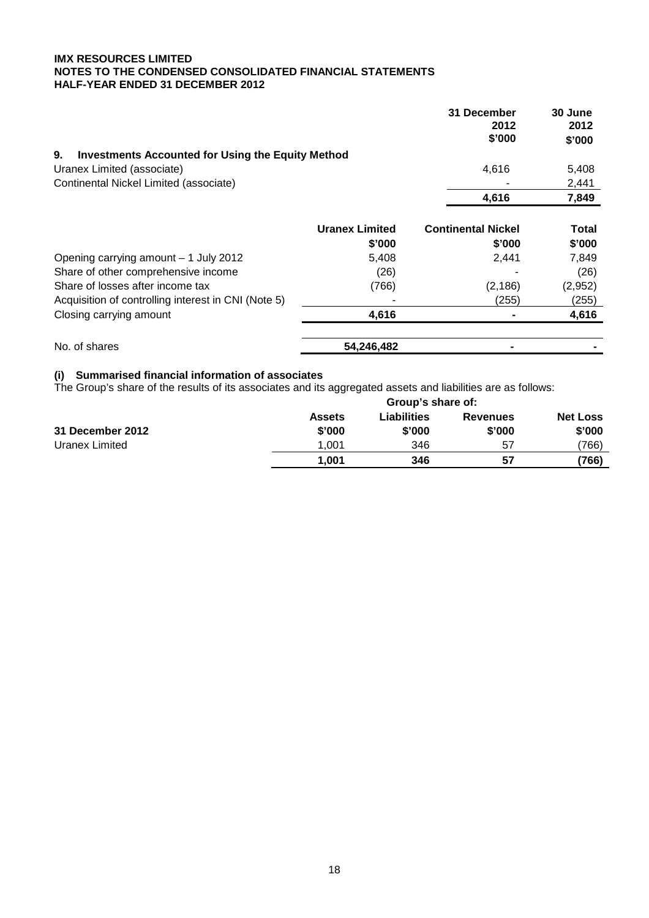|                                                                |                       | 31 December<br>2012<br>\$'000 | 30 June<br>2012<br>\$'000 |
|----------------------------------------------------------------|-----------------------|-------------------------------|---------------------------|
| 9.<br><b>Investments Accounted for Using the Equity Method</b> |                       |                               |                           |
| Uranex Limited (associate)                                     |                       | 4,616                         | 5,408                     |
| Continental Nickel Limited (associate)                         |                       |                               | 2,441                     |
|                                                                |                       | 4,616                         | 7,849                     |
|                                                                | <b>Uranex Limited</b> | <b>Continental Nickel</b>     | <b>Total</b>              |
|                                                                | \$'000                | \$'000                        | \$'000                    |
| Opening carrying amount - 1 July 2012                          | 5,408                 | 2,441                         | 7,849                     |
| Share of other comprehensive income                            | (26)                  |                               | (26)                      |
| Share of losses after income tax                               | (766)                 | (2, 186)                      | (2,952)                   |
| Acquisition of controlling interest in CNI (Note 5)            |                       | (255)                         | (255)                     |
| Closing carrying amount                                        | 4,616                 |                               | 4,616                     |
| No. of shares                                                  | 54,246,482            |                               |                           |

# **(i) Summarised financial information of associates**

The Group's share of the results of its associates and its aggregated assets and liabilities are as follows:

|                         |                         | Group's share of:            |                           |                           |  |
|-------------------------|-------------------------|------------------------------|---------------------------|---------------------------|--|
| <b>31 December 2012</b> | <b>Assets</b><br>\$'000 | <b>Liabilities</b><br>\$'000 | <b>Revenues</b><br>\$'000 | <b>Net Loss</b><br>\$'000 |  |
| Uranex Limited          | 1.001                   | 346                          | 57                        | ′766)                     |  |
|                         | 1.001                   | 346                          | 57                        | (766)                     |  |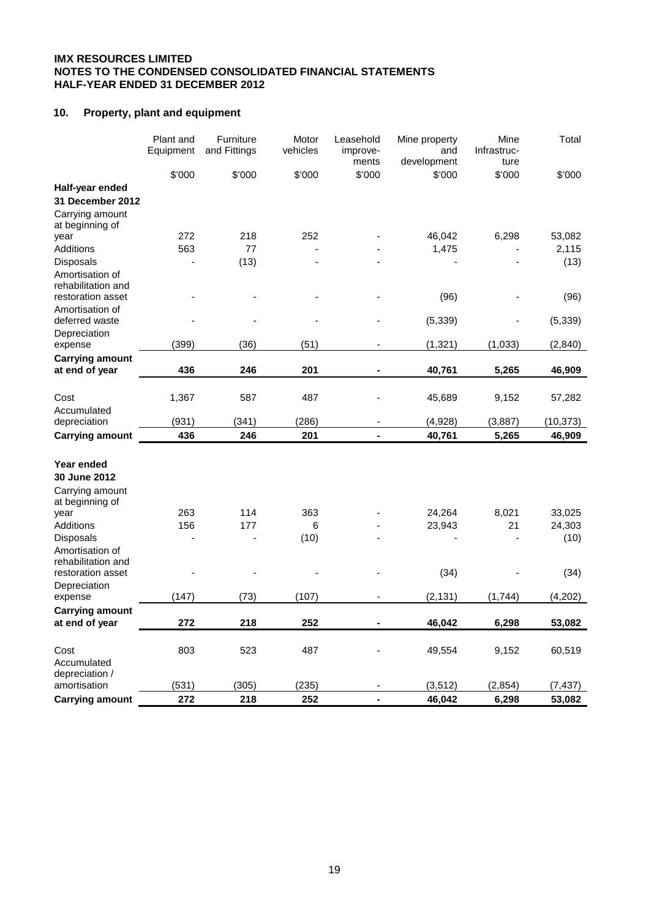## **10. Property, plant and equipment**

|                                       | Plant and<br>Equipment | Furniture<br>and Fittings | Motor<br>vehicles | Leasehold<br>improve-<br>ments | Mine property<br>and<br>development | Mine<br>Infrastruc-<br>ture | Total     |
|---------------------------------------|------------------------|---------------------------|-------------------|--------------------------------|-------------------------------------|-----------------------------|-----------|
|                                       | \$'000                 | \$'000                    | \$'000            | \$'000                         | \$'000                              | \$'000                      | \$'000    |
| Half-year ended                       |                        |                           |                   |                                |                                     |                             |           |
| 31 December 2012                      |                        |                           |                   |                                |                                     |                             |           |
| Carrying amount<br>at beginning of    |                        |                           |                   |                                |                                     |                             |           |
| year                                  | 272                    | 218                       | 252               |                                | 46,042                              | 6,298                       | 53,082    |
| Additions                             | 563                    | 77                        |                   |                                | 1,475                               |                             | 2,115     |
| Disposals                             |                        | (13)                      |                   |                                |                                     |                             | (13)      |
| Amortisation of<br>rehabilitation and |                        |                           |                   |                                |                                     |                             |           |
| restoration asset                     |                        |                           |                   |                                | (96)                                |                             | (96)      |
| Amortisation of<br>deferred waste     |                        |                           |                   |                                | (5, 339)                            |                             | (5, 339)  |
| Depreciation                          |                        |                           |                   |                                |                                     |                             |           |
| expense                               | (399)                  | (36)                      | (51)              |                                | (1, 321)                            | (1,033)                     | (2, 840)  |
| <b>Carrying amount</b>                |                        |                           |                   |                                |                                     |                             |           |
| at end of year                        | 436                    | 246                       | 201               |                                | 40,761                              | 5,265                       | 46,909    |
| Cost                                  | 1,367                  | 587                       | 487               |                                | 45,689                              | 9,152                       | 57,282    |
| Accumulated                           |                        |                           |                   |                                |                                     |                             |           |
| depreciation                          | (931)                  | (341)                     | (286)             | $\overline{\phantom{a}}$       | (4,928)                             | (3,887)                     | (10, 373) |
| <b>Carrying amount</b>                | 436                    | 246                       | 201               | ä,                             | 40,761                              | 5,265                       | 46,909    |
|                                       |                        |                           |                   |                                |                                     |                             |           |
| Year ended                            |                        |                           |                   |                                |                                     |                             |           |
| 30 June 2012                          |                        |                           |                   |                                |                                     |                             |           |
| Carrying amount<br>at beginning of    |                        |                           |                   |                                |                                     |                             |           |
| year                                  | 263                    | 114                       | 363               |                                | 24,264                              | 8,021                       | 33,025    |
| Additions                             | 156                    | 177                       | 6                 |                                | 23,943                              | 21                          | 24,303    |
| <b>Disposals</b>                      |                        |                           | (10)              |                                |                                     |                             | (10)      |
| Amortisation of<br>rehabilitation and |                        |                           |                   |                                |                                     |                             |           |
| restoration asset                     |                        |                           |                   |                                | (34)                                |                             | (34)      |
| Depreciation<br>expense               | (147)                  | (73)                      | (107)             |                                | (2, 131)                            | (1,744)                     | (4,202)   |
| <b>Carrying amount</b>                |                        |                           |                   |                                |                                     |                             |           |
| at end of year                        | 272                    | 218                       | 252               | ٠                              | 46,042                              | 6,298                       | 53,082    |
|                                       |                        |                           |                   |                                |                                     |                             |           |
| Cost<br>Accumulated                   | 803                    | 523                       | 487               |                                | 49,554                              | 9,152                       | 60,519    |
| depreciation /                        |                        |                           |                   |                                |                                     |                             |           |
| amortisation                          | (531)                  | (305)                     | (235)             |                                | (3, 512)                            | (2, 854)                    | (7, 437)  |
| <b>Carrying amount</b>                | 272                    | 218                       | 252               | L.                             | 46,042                              | 6,298                       | 53,082    |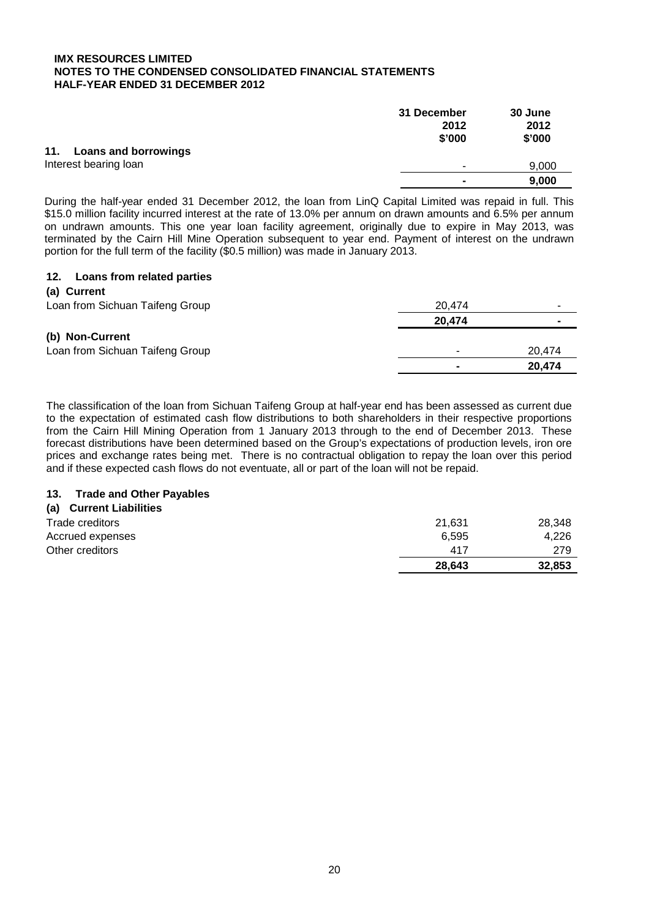|                          | 31 December    | 30 June |
|--------------------------|----------------|---------|
|                          | 2012           | 2012    |
|                          | \$'000         | \$'000  |
| 11. Loans and borrowings |                |         |
| Interest bearing loan    |                | 9,000   |
|                          | $\blacksquare$ | 9,000   |

During the half-year ended 31 December 2012, the loan from LinQ Capital Limited was repaid in full. This \$15.0 million facility incurred interest at the rate of 13.0% per annum on drawn amounts and 6.5% per annum on undrawn amounts. This one year loan facility agreement, originally due to expire in May 2013, was terminated by the Cairn Hill Mine Operation subsequent to year end. Payment of interest on the undrawn portion for the full term of the facility (\$0.5 million) was made in January 2013.

## **12. Loans from related parties**

| (a) Current                     |        |        |
|---------------------------------|--------|--------|
| Loan from Sichuan Taifeng Group | 20,474 |        |
|                                 | 20,474 |        |
| (b) Non-Current                 |        |        |
| Loan from Sichuan Taifeng Group |        | 20,474 |
|                                 |        | 20,474 |

The classification of the loan from Sichuan Taifeng Group at half-year end has been assessed as current due to the expectation of estimated cash flow distributions to both shareholders in their respective proportions from the Cairn Hill Mining Operation from 1 January 2013 through to the end of December 2013. These forecast distributions have been determined based on the Group's expectations of production levels, iron ore prices and exchange rates being met. There is no contractual obligation to repay the loan over this period and if these expected cash flows do not eventuate, all or part of the loan will not be repaid.

## **113. Trade and Other Payables**

## **(a) Current Liabilities**

| Trade creditors  | 21.631 | 28,348 |
|------------------|--------|--------|
| Accrued expenses | 6.595  | 4.226  |
| Other creditors  | 417    | 279    |
|                  | 28,643 | 32,853 |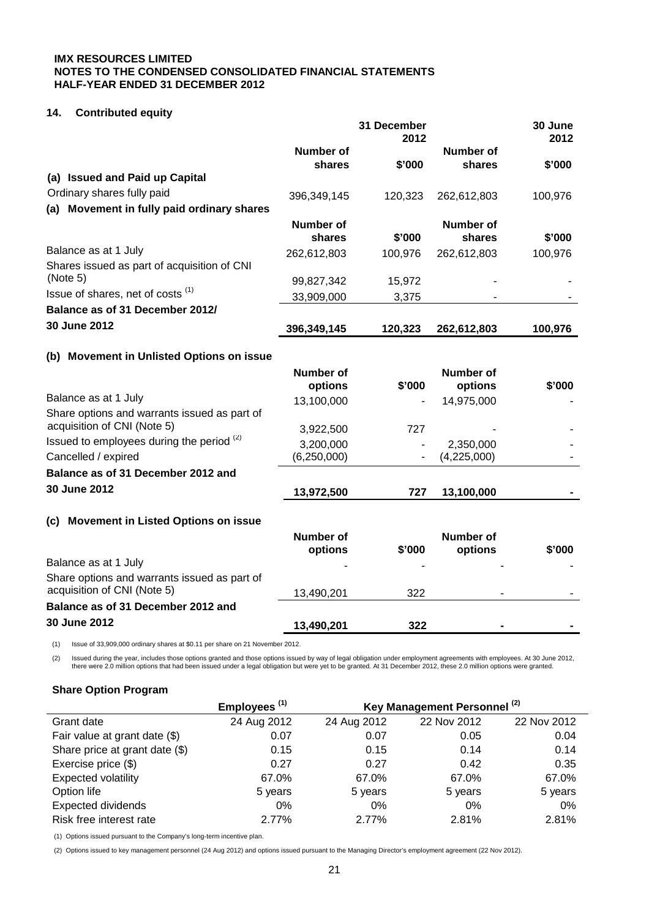## **114. Contributed equity**

|                                              |                     | 31 December<br>2012 |                     | 30 June<br>2012 |
|----------------------------------------------|---------------------|---------------------|---------------------|-----------------|
|                                              | Number of<br>shares | \$'000              | Number of<br>shares | \$'000          |
| (a) Issued and Paid up Capital               |                     |                     |                     |                 |
| Ordinary shares fully paid                   | 396,349,145         | 120,323             | 262,612,803         | 100,976         |
| (a) Movement in fully paid ordinary shares   |                     |                     |                     |                 |
|                                              | Number of<br>shares | \$'000              | Number of<br>shares | \$'000          |
| Balance as at 1 July                         | 262,612,803         | 100,976             | 262,612,803         | 100,976         |
| Shares issued as part of acquisition of CNI  |                     |                     |                     |                 |
| (Note 5)                                     | 99,827,342          | 15,972              |                     |                 |
| Issue of shares, net of costs <sup>(1)</sup> | 33,909,000          | 3,375               |                     |                 |
| Balance as of 31 December 2012/              |                     |                     |                     |                 |
| 30 June 2012                                 | 396,349,145         | 120,323             | 262,612,803         | 100,976         |
|                                              |                     |                     |                     |                 |

## **(b) Movement in Unlisted Options on issue**

|                                                                             | Number of<br>options | \$'000 | <b>Number of</b><br>options | \$'000 |
|-----------------------------------------------------------------------------|----------------------|--------|-----------------------------|--------|
| Balance as at 1 July                                                        | 13,100,000           |        | 14,975,000                  |        |
| Share options and warrants issued as part of<br>acquisition of CNI (Note 5) | 3,922,500            | 727    |                             |        |
| Issued to employees during the period (2)                                   | 3,200,000            |        | 2,350,000                   |        |
| Cancelled / expired                                                         | (6,250,000)          |        | (4,225,000)                 |        |
| Balance as of 31 December 2012 and                                          |                      |        |                             |        |
| 30 June 2012                                                                | 13,972,500           | 727    | 13,100,000                  |        |
| <b>Movement in Listed Options on issue</b><br>(c)                           |                      |        |                             |        |
|                                                                             | Number of            |        | Number of                   |        |
|                                                                             | options              | \$'000 | options                     | \$'000 |
| Balance as at 1 July                                                        |                      |        |                             |        |
| Share options and warrants issued as part of                                |                      |        |                             |        |
| acquisition of CNI (Note 5)                                                 | 13,490,201           | 322    |                             |        |
| Balance as of 31 December 2012 and                                          |                      |        |                             |        |
| 30 June 2012                                                                | 13,490,201           | 322    |                             |        |

(1) Issue of 33,909,000 ordinary shares at \$0.11 per share on 21 November 2012.

(2) Issued during the year, includes those options granted and those options issued by way of legal obligation under employment agreements with employees. At 30 June 2012, there were 2.0 million options that had been issued under a legal obligation but were yet to be granted. At 31 December 2012, these 2.0 million options were granted.

## **Share Option Program**

|                                | Employees <sup>(1)</sup> | Key Management Personnel <sup>(2)</sup> |             |             |  |
|--------------------------------|--------------------------|-----------------------------------------|-------------|-------------|--|
| Grant date                     | 24 Aug 2012              | 24 Aug 2012                             | 22 Nov 2012 | 22 Nov 2012 |  |
| Fair value at grant date (\$)  | 0.07                     | 0.07                                    | 0.05        | 0.04        |  |
| Share price at grant date (\$) | 0.15                     | 0.15                                    | 0.14        | 0.14        |  |
| Exercise price (\$)            | 0.27                     | 0.27                                    | 0.42        | 0.35        |  |
| <b>Expected volatility</b>     | 67.0%                    | 67.0%                                   | 67.0%       | 67.0%       |  |
| Option life                    | 5 years                  | 5 years                                 | 5 years     | 5 years     |  |
| <b>Expected dividends</b>      | 0%                       | 0%                                      | $0\%$       | 0%          |  |
| Risk free interest rate        | 2.77%                    | 2.77%                                   | 2.81%       | 2.81%       |  |

(1) Options issued pursuant to the Company's long-term incentive plan.

(2) Options issued to key management personnel (24 Aug 2012) and options issued pursuant to the Managing Director's employment agreement (22 Nov 2012).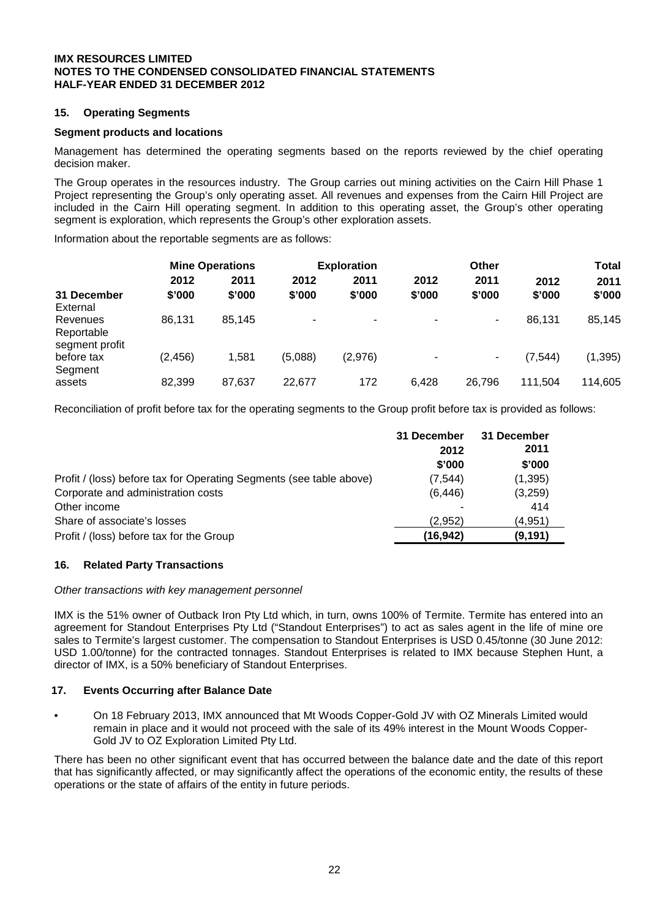## **15. Operating Segments**

#### **Segment products and locations**

Management has determined the operating segments based on the reports reviewed by the chief operating decision maker.

The Group operates in the resources industry. The Group carries out mining activities on the Cairn Hill Phase 1 Project representing the Group's only operating asset. All revenues and expenses from the Cairn Hill Project are included in the Cairn Hill operating segment. In addition to this operating asset, the Group's other operating segment is exploration, which represents the Group's other exploration assets.

Information about the reportable segments are as follows:

|          |        | <b>Exploration</b>     |         |        | Other  |          | Total    |
|----------|--------|------------------------|---------|--------|--------|----------|----------|
| 2012     | 2011   | 2012                   | 2011    | 2012   | 2011   | 2012     | 2011     |
| \$'000   | \$'000 | \$'000                 | \$'000  | \$'000 | \$'000 | \$'000   | \$'000   |
|          |        |                        |         |        |        |          |          |
| 86,131   | 85.145 | ۰                      | ۰       | ۰      | ۰      | 86.131   | 85,145   |
|          |        |                        |         |        |        |          |          |
|          |        |                        |         |        |        |          |          |
| (2, 456) | 1,581  | (5,088)                | (2,976) | ٠      | ۰      | (7, 544) | (1, 395) |
|          |        |                        |         |        |        |          |          |
| 82,399   | 87,637 | 22,677                 | 172     | 6,428  | 26,796 | 111,504  | 114,605  |
|          |        | <b>Mine Operations</b> |         |        |        |          |          |

Reconciliation of profit before tax for the operating segments to the Group profit before tax is provided as follows:

|                                                                     | 31 December<br>2012 | 31 December<br>2011 |
|---------------------------------------------------------------------|---------------------|---------------------|
|                                                                     | \$'000              | \$'000              |
| Profit / (loss) before tax for Operating Segments (see table above) | (7, 544)            | (1,395)             |
| Corporate and administration costs                                  | (6, 446)            | (3,259)             |
| Other income                                                        |                     | 414                 |
| Share of associate's losses                                         | (2.952)             | (4.951)             |
| Profit / (loss) before tax for the Group                            | (16, 942)           | (9, 191)            |

#### **16. Related Party Transactions**

#### *Other transactions with key management personnel*

IMX is the 51% owner of Outback Iron Pty Ltd which, in turn, owns 100% of Termite. Termite has entered into an agreement for Standout Enterprises Pty Ltd ("Standout Enterprises") to act as sales agent in the life of mine ore sales to Termite's largest customer. The compensation to Standout Enterprises is USD 0.45/tonne (30 June 2012: USD 1.00/tonne) for the contracted tonnages. Standout Enterprises is related to IMX because Stephen Hunt, a director of IMX, is a 50% beneficiary of Standout Enterprises.

#### **17. Events Occurring after Balance Date**

• On 18 February 2013, IMX announced that Mt Woods Copper-Gold JV with OZ Minerals Limited would remain in place and it would not proceed with the sale of its 49% interest in the Mount Woods Copper-Gold JV to OZ Exploration Limited Pty Ltd.

There has been no other significant event that has occurred between the balance date and the date of this report that has significantly affected, or may significantly affect the operations of the economic entity, the results of these operations or the state of affairs of the entity in future periods.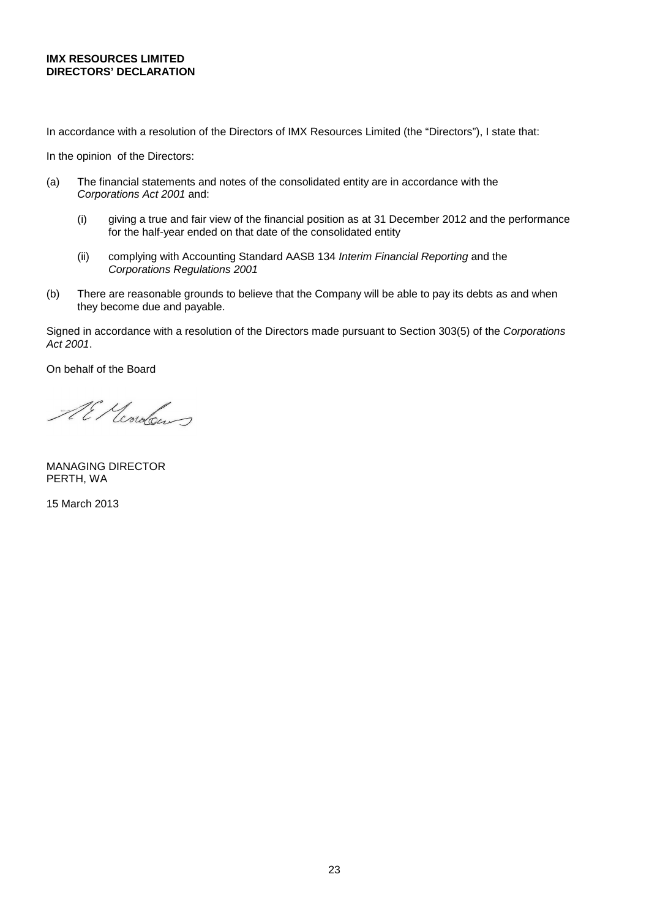## **IMX RESOURCES LIMITED DIRECTORS' DECLARATION**

In accordance with a resolution of the Directors of IMX Resources Limited (the "Directors"), I state that:

In the opinion of the Directors:

- (a) The financial statements and notes of the consolidated entity are in accordance with the *Corporations Act 2001* and:
	- (i) giving a true and fair view of the financial position as at 31 December 2012 and the performance for the half-year ended on that date of the consolidated entity
	- (ii) complying with Accounting Standard AASB 134 *Interim Financial Reporting* and the *Corporations Regulations 2001*
- (b) There are reasonable grounds to believe that the Company will be able to pay its debts as and when they become due and payable.

Signed in accordance with a resolution of the Directors made pursuant to Section 303(5) of the *Corporations Act 2001*.

On behalf of the Board

Al Mondows

MANAGING DIRECTOR PERTH, WA

15 March 2013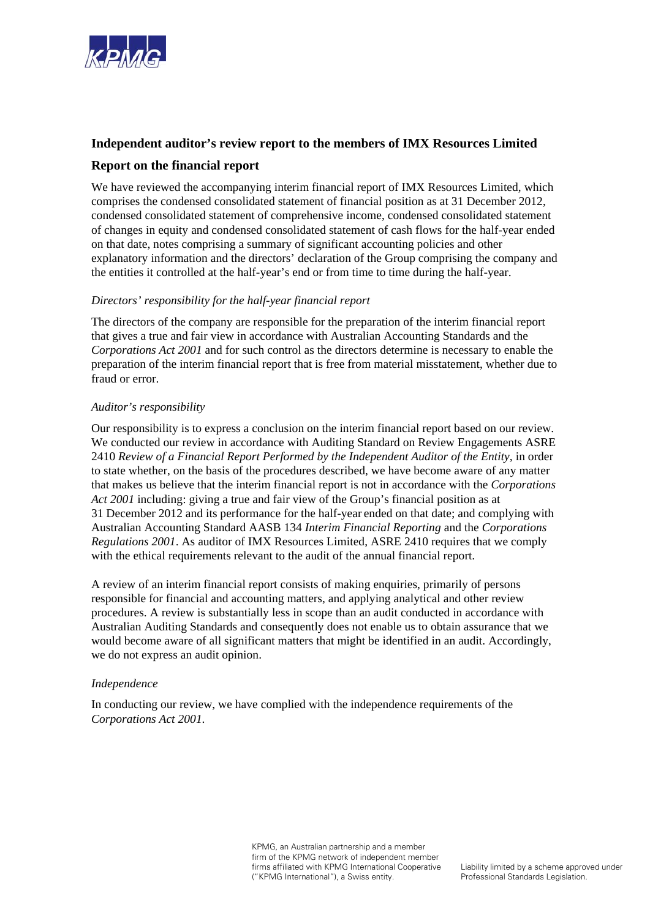

## **Independent auditor's review report to the members of IMX Resources Limited**

## **Report on the financial report**

We have reviewed the accompanying interim financial report of IMX Resources Limited, which comprises the condensed consolidated statement of financial position as at 31 December 2012, condensed consolidated statement of comprehensive income, condensed consolidated statement of changes in equity and condensed consolidated statement of cash flows for the half-year ended on that date, notes comprising a summary of significant accounting policies and other explanatory information and the directors' declaration of the Group comprising the company and the entities it controlled at the half-year's end or from time to time during the half-year.

## *Directors' responsibility for the half-year financial report*

The directors of the company are responsible for the preparation of the interim financial report that gives a true and fair view in accordance with Australian Accounting Standards and the *Corporations Act 2001* and for such control as the directors determine is necessary to enable the preparation of the interim financial report that is free from material misstatement, whether due to fraud or error.

## *Auditor's responsibility*

Our responsibility is to express a conclusion on the interim financial report based on our review. We conducted our review in accordance with Auditing Standard on Review Engagements ASRE 2410 *Review of a Financial Report Performed by the Independent Auditor of the Entity,* in order to state whether, on the basis of the procedures described, we have become aware of any matter that makes us believe that the interim financial report is not in accordance with the *Corporations Act 2001* including: giving a true and fair view of the Group's financial position as at 31 December 2012 and its performance for the half-year ended on that date; and complying with Australian Accounting Standard AASB 134 *Interim Financial Reporting* and the *Corporations Regulations 2001*. As auditor of IMX Resources Limited, ASRE 2410 requires that we comply with the ethical requirements relevant to the audit of the annual financial report.

A review of an interim financial report consists of making enquiries, primarily of persons responsible for financial and accounting matters, and applying analytical and other review procedures. A review is substantially less in scope than an audit conducted in accordance with Australian Auditing Standards and consequently does not enable us to obtain assurance that we would become aware of all significant matters that might be identified in an audit. Accordingly, we do not express an audit opinion.

## *Independence*

In conducting our review, we have complied with the independence requirements of the *Corporations Act 2001*.